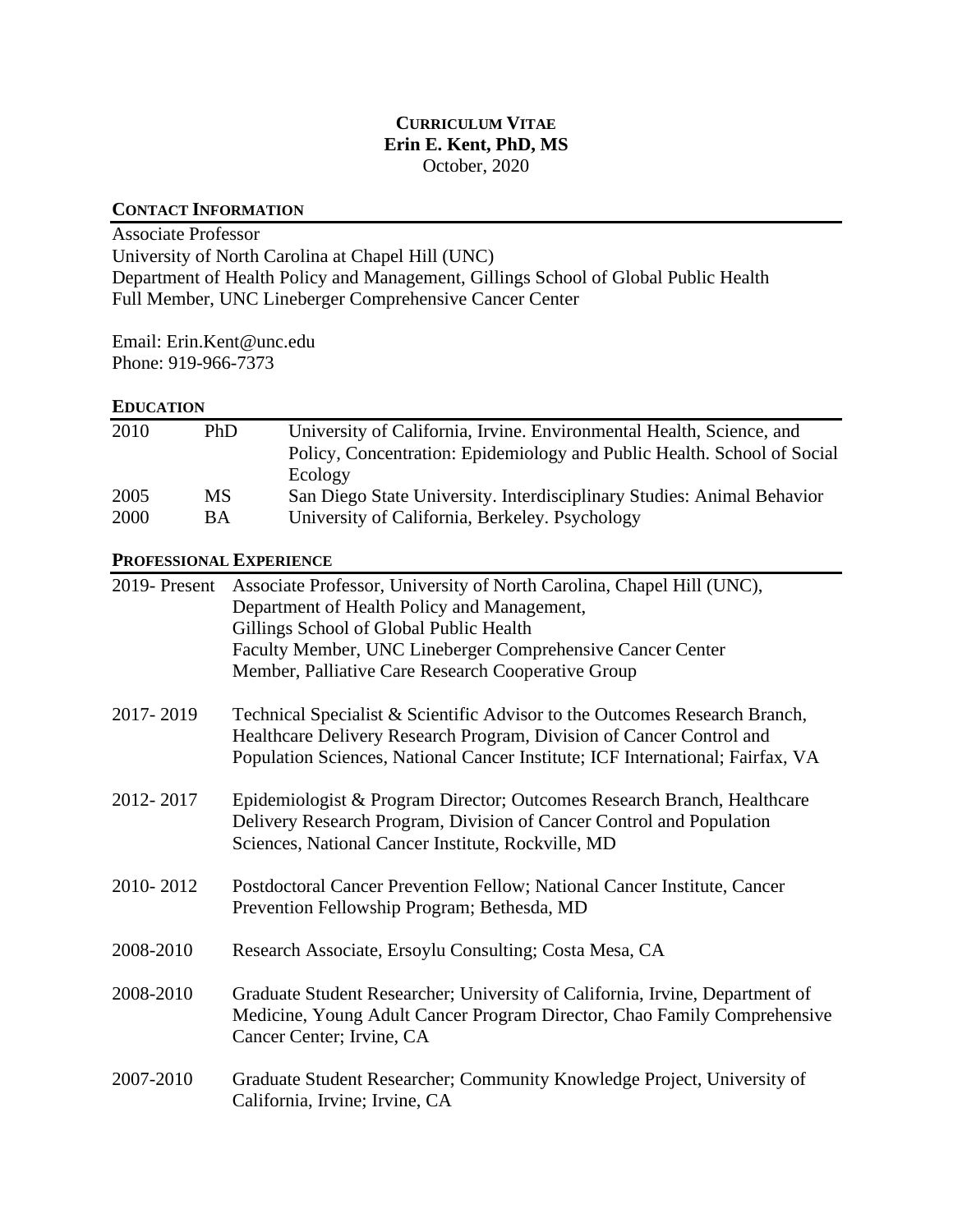## **CURRICULUM VITAE Erin E. Kent, PhD, MS** October, 2020

## **CONTACT INFORMATION**

Associate Professor University of North Carolina at Chapel Hill (UNC) Department of Health Policy and Management, Gillings School of Global Public Health Full Member, UNC Lineberger Comprehensive Cancer Center

Email: Erin.Kent@unc.edu Phone: 919-966-7373

# **EDUCATION**

| 2010                    | PhD       | University of California, Irvine. Environmental Health, Science, and<br>Policy, Concentration: Epidemiology and Public Health. School of Social<br>Ecology                                                                                                                          |  |
|-------------------------|-----------|-------------------------------------------------------------------------------------------------------------------------------------------------------------------------------------------------------------------------------------------------------------------------------------|--|
| 2005                    | <b>MS</b> | San Diego State University. Interdisciplinary Studies: Animal Behavior                                                                                                                                                                                                              |  |
| 2000                    | <b>BA</b> | University of California, Berkeley. Psychology                                                                                                                                                                                                                                      |  |
| PROFESSIONAL EXPERIENCE |           |                                                                                                                                                                                                                                                                                     |  |
| 2019-Present            |           | Associate Professor, University of North Carolina, Chapel Hill (UNC),<br>Department of Health Policy and Management,<br>Gillings School of Global Public Health<br>Faculty Member, UNC Lineberger Comprehensive Cancer Center<br>Member, Palliative Care Research Cooperative Group |  |
| 2017-2019               |           | Technical Specialist & Scientific Advisor to the Outcomes Research Branch,<br>Healthcare Delivery Research Program, Division of Cancer Control and<br>Population Sciences, National Cancer Institute; ICF International; Fairfax, VA                                                |  |
| 2012-2017               |           | Epidemiologist & Program Director; Outcomes Research Branch, Healthcare<br>Delivery Research Program, Division of Cancer Control and Population<br>Sciences, National Cancer Institute, Rockville, MD                                                                               |  |
| 2010-2012               |           | Postdoctoral Cancer Prevention Fellow; National Cancer Institute, Cancer<br>Prevention Fellowship Program; Bethesda, MD                                                                                                                                                             |  |
| 2008-2010               |           | Research Associate, Ersoylu Consulting; Costa Mesa, CA                                                                                                                                                                                                                              |  |
| 2008-2010               |           | Graduate Student Researcher; University of California, Irvine, Department of<br>Medicine, Young Adult Cancer Program Director, Chao Family Comprehensive<br>Cancer Center; Irvine, CA                                                                                               |  |
| 2007-2010               |           | Graduate Student Researcher; Community Knowledge Project, University of<br>California, Irvine; Irvine, CA                                                                                                                                                                           |  |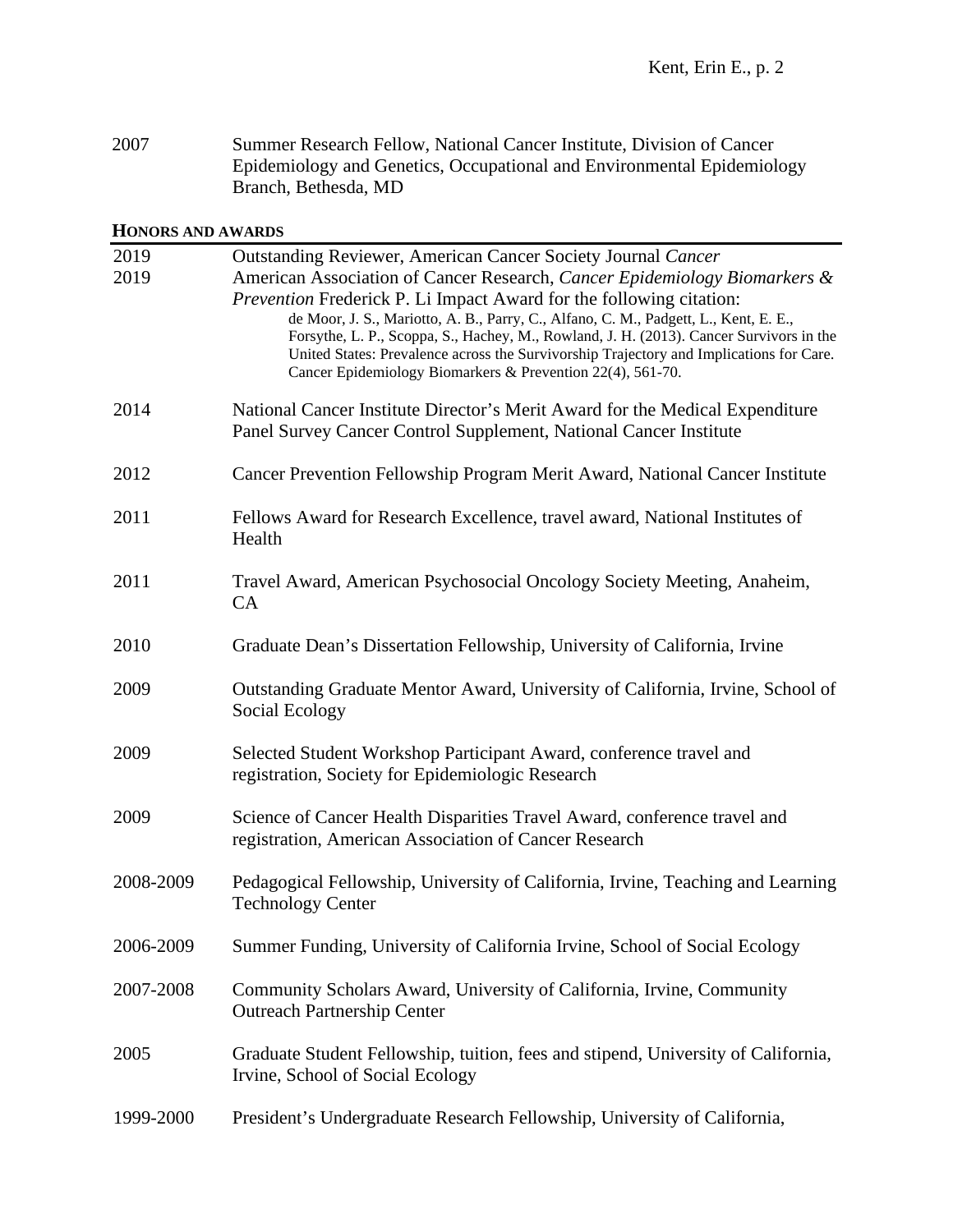| 2007 | Summer Research Fellow, National Cancer Institute, Division of Cancer  |
|------|------------------------------------------------------------------------|
|      | Epidemiology and Genetics, Occupational and Environmental Epidemiology |
|      | Branch, Bethesda, MD                                                   |

### **HONORS AND AWARDS**

| 2019<br>2019 | Outstanding Reviewer, American Cancer Society Journal Cancer<br>American Association of Cancer Research, Cancer Epidemiology Biomarkers &<br><i>Prevention</i> Frederick P. Li Impact Award for the following citation:<br>de Moor, J. S., Mariotto, A. B., Parry, C., Alfano, C. M., Padgett, L., Kent, E. E.,<br>Forsythe, L. P., Scoppa, S., Hachey, M., Rowland, J. H. (2013). Cancer Survivors in the<br>United States: Prevalence across the Survivorship Trajectory and Implications for Care.<br>Cancer Epidemiology Biomarkers & Prevention 22(4), 561-70. |
|--------------|---------------------------------------------------------------------------------------------------------------------------------------------------------------------------------------------------------------------------------------------------------------------------------------------------------------------------------------------------------------------------------------------------------------------------------------------------------------------------------------------------------------------------------------------------------------------|
| 2014         | National Cancer Institute Director's Merit Award for the Medical Expenditure<br>Panel Survey Cancer Control Supplement, National Cancer Institute                                                                                                                                                                                                                                                                                                                                                                                                                   |
| 2012         | Cancer Prevention Fellowship Program Merit Award, National Cancer Institute                                                                                                                                                                                                                                                                                                                                                                                                                                                                                         |
| 2011         | Fellows Award for Research Excellence, travel award, National Institutes of<br>Health                                                                                                                                                                                                                                                                                                                                                                                                                                                                               |
| 2011         | Travel Award, American Psychosocial Oncology Society Meeting, Anaheim,<br>CA                                                                                                                                                                                                                                                                                                                                                                                                                                                                                        |
| 2010         | Graduate Dean's Dissertation Fellowship, University of California, Irvine                                                                                                                                                                                                                                                                                                                                                                                                                                                                                           |
| 2009         | Outstanding Graduate Mentor Award, University of California, Irvine, School of<br>Social Ecology                                                                                                                                                                                                                                                                                                                                                                                                                                                                    |
| 2009         | Selected Student Workshop Participant Award, conference travel and<br>registration, Society for Epidemiologic Research                                                                                                                                                                                                                                                                                                                                                                                                                                              |
| 2009         | Science of Cancer Health Disparities Travel Award, conference travel and<br>registration, American Association of Cancer Research                                                                                                                                                                                                                                                                                                                                                                                                                                   |
| 2008-2009    | Pedagogical Fellowship, University of California, Irvine, Teaching and Learning<br><b>Technology Center</b>                                                                                                                                                                                                                                                                                                                                                                                                                                                         |
| 2006-2009    | Summer Funding, University of California Irvine, School of Social Ecology                                                                                                                                                                                                                                                                                                                                                                                                                                                                                           |
| 2007-2008    | Community Scholars Award, University of California, Irvine, Community<br><b>Outreach Partnership Center</b>                                                                                                                                                                                                                                                                                                                                                                                                                                                         |
| 2005         | Graduate Student Fellowship, tuition, fees and stipend, University of California,<br>Irvine, School of Social Ecology                                                                                                                                                                                                                                                                                                                                                                                                                                               |
| 1999-2000    | President's Undergraduate Research Fellowship, University of California,                                                                                                                                                                                                                                                                                                                                                                                                                                                                                            |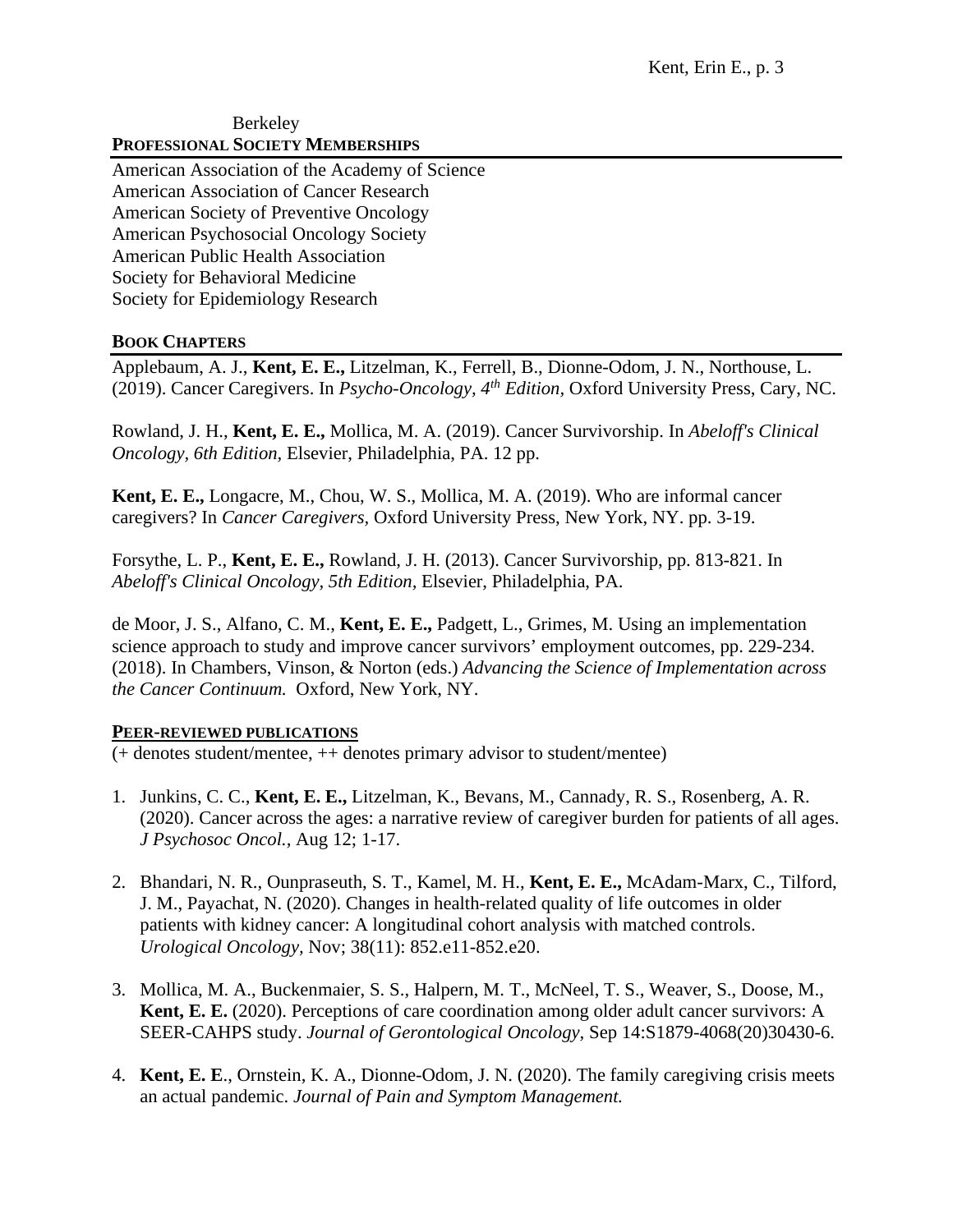#### Berkeley **PROFESSIONAL SOCIETY MEMBERSHIPS**

American Association of the Academy of Science American Association of Cancer Research American Society of Preventive Oncology American Psychosocial Oncology Society American Public Health Association Society for Behavioral Medicine Society for Epidemiology Research

## **BOOK CHAPTERS**

Applebaum, A. J., **Kent, E. E.,** Litzelman, K., Ferrell, B., Dionne-Odom, J. N., Northouse, L. (2019). Cancer Caregivers. In *Psycho-Oncology, 4th Edition,* Oxford University Press, Cary, NC.

Rowland, J. H., **Kent, E. E.,** Mollica, M. A. (2019). Cancer Survivorship. In *Abeloff's Clinical Oncology, 6th Edition,* Elsevier, Philadelphia, PA. 12 pp.

**Kent, E. E.,** Longacre, M., Chou, W. S., Mollica, M. A. (2019). Who are informal cancer caregivers? In *Cancer Caregivers,* Oxford University Press, New York, NY. pp. 3-19.

Forsythe, L. P., **Kent, E. E.,** Rowland, J. H. (2013). Cancer Survivorship, pp. 813-821. In *Abeloff's Clinical Oncology, 5th Edition,* Elsevier, Philadelphia, PA.

de Moor, J. S., Alfano, C. M., **Kent, E. E.,** Padgett, L., Grimes, M. Using an implementation science approach to study and improve cancer survivors' employment outcomes, pp. 229-234. (2018). In Chambers, Vinson, & Norton (eds.) *Advancing the Science of Implementation across the Cancer Continuum.* Oxford, New York, NY.

## **PEER-REVIEWED PUBLICATIONS**

(+ denotes student/mentee, ++ denotes primary advisor to student/mentee)

- 1. Junkins, C. C., **Kent, E. E.,** Litzelman, K., Bevans, M., Cannady, R. S., Rosenberg, A. R. (2020). Cancer across the ages: a narrative review of caregiver burden for patients of all ages. *J Psychosoc Oncol.,* Aug 12; 1-17.
- 2. Bhandari, N. R., Ounpraseuth, S. T., Kamel, M. H., **Kent, E. E.,** McAdam-Marx, C., Tilford, J. M., Payachat, N. (2020). Changes in health-related quality of life outcomes in older patients with kidney cancer: A longitudinal cohort analysis with matched controls. *Urological Oncology,* Nov; 38(11): 852.e11-852.e20.
- 3. Mollica, M. A., Buckenmaier, S. S., Halpern, M. T., McNeel, T. S., Weaver, S., Doose, M., **Kent, E. E.** (2020). Perceptions of care coordination among older adult cancer survivors: A SEER-CAHPS study. *Journal of Gerontological Oncology,* Sep 14:S1879-4068(20)30430-6.
- 4. **Kent, E. E**., Ornstein, K. A., Dionne-Odom, J. N. (2020). The family caregiving crisis meets an actual pandemic. *Journal of Pain and Symptom Management.*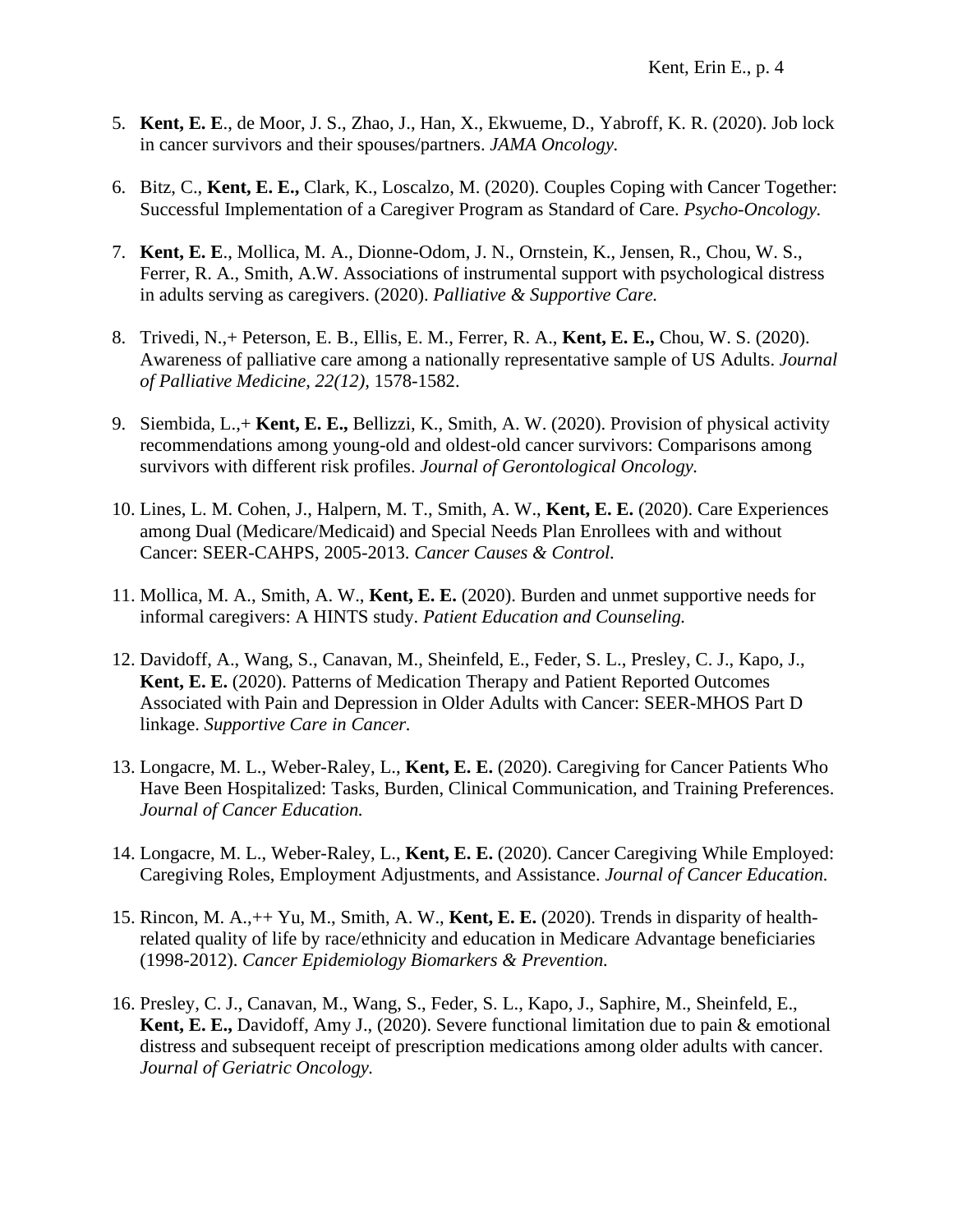- 5. **Kent, E. E**., de Moor, J. S., Zhao, J., Han, X., Ekwueme, D., Yabroff, K. R. (2020). Job lock in cancer survivors and their spouses/partners. *JAMA Oncology.*
- 6. Bitz, C., **Kent, E. E.,** Clark, K., Loscalzo, M. (2020). Couples Coping with Cancer Together: Successful Implementation of a Caregiver Program as Standard of Care. *Psycho-Oncology.*
- 7. **Kent, E. E**., Mollica, M. A., Dionne-Odom, J. N., Ornstein, K., Jensen, R., Chou, W. S., Ferrer, R. A., Smith, A.W. Associations of instrumental support with psychological distress in adults serving as caregivers. (2020). *Palliative & Supportive Care.*
- 8. Trivedi, N.,+ Peterson, E. B., Ellis, E. M., Ferrer, R. A., **Kent, E. E.,** Chou, W. S. (2020). Awareness of palliative care among a nationally representative sample of US Adults. *Journal of Palliative Medicine, 22(12),* 1578-1582.
- 9. Siembida, L.,+ **Kent, E. E.,** Bellizzi, K., Smith, A. W. (2020). Provision of physical activity recommendations among young-old and oldest-old cancer survivors: Comparisons among survivors with different risk profiles. *Journal of Gerontological Oncology.*
- 10. Lines, L. M. Cohen, J., Halpern, M. T., Smith, A. W., **Kent, E. E.** (2020). Care Experiences among Dual (Medicare/Medicaid) and Special Needs Plan Enrollees with and without Cancer: SEER-CAHPS, 2005-2013. *Cancer Causes & Control.*
- 11. Mollica, M. A., Smith, A. W., **Kent, E. E.** (2020). Burden and unmet supportive needs for informal caregivers: A HINTS study. *Patient Education and Counseling.*
- 12. Davidoff, A., Wang, S., Canavan, M., Sheinfeld, E., Feder, S. L., Presley, C. J., Kapo, J., **Kent, E. E.** (2020). Patterns of Medication Therapy and Patient Reported Outcomes Associated with Pain and Depression in Older Adults with Cancer: SEER-MHOS Part D linkage. *Supportive Care in Cancer.*
- 13. Longacre, M. L., Weber-Raley, L., **Kent, E. E.** (2020). Caregiving for Cancer Patients Who Have Been Hospitalized: Tasks, Burden, Clinical Communication, and Training Preferences. *Journal of Cancer Education.*
- 14. Longacre, M. L., Weber-Raley, L., **Kent, E. E.** (2020). Cancer Caregiving While Employed: Caregiving Roles, Employment Adjustments, and Assistance. *Journal of Cancer Education.*
- 15. Rincon, M. A.,++ Yu, M., Smith, A. W., **Kent, E. E.** (2020). Trends in disparity of healthrelated quality of life by race/ethnicity and education in Medicare Advantage beneficiaries (1998-2012). *Cancer Epidemiology Biomarkers & Prevention.*
- 16. Presley, C. J., Canavan, M., Wang, S., Feder, S. L., Kapo, J., Saphire, M., Sheinfeld, E., **Kent, E. E.,** Davidoff, Amy J., (2020). Severe functional limitation due to pain & emotional distress and subsequent receipt of prescription medications among older adults with cancer. *Journal of Geriatric Oncology.*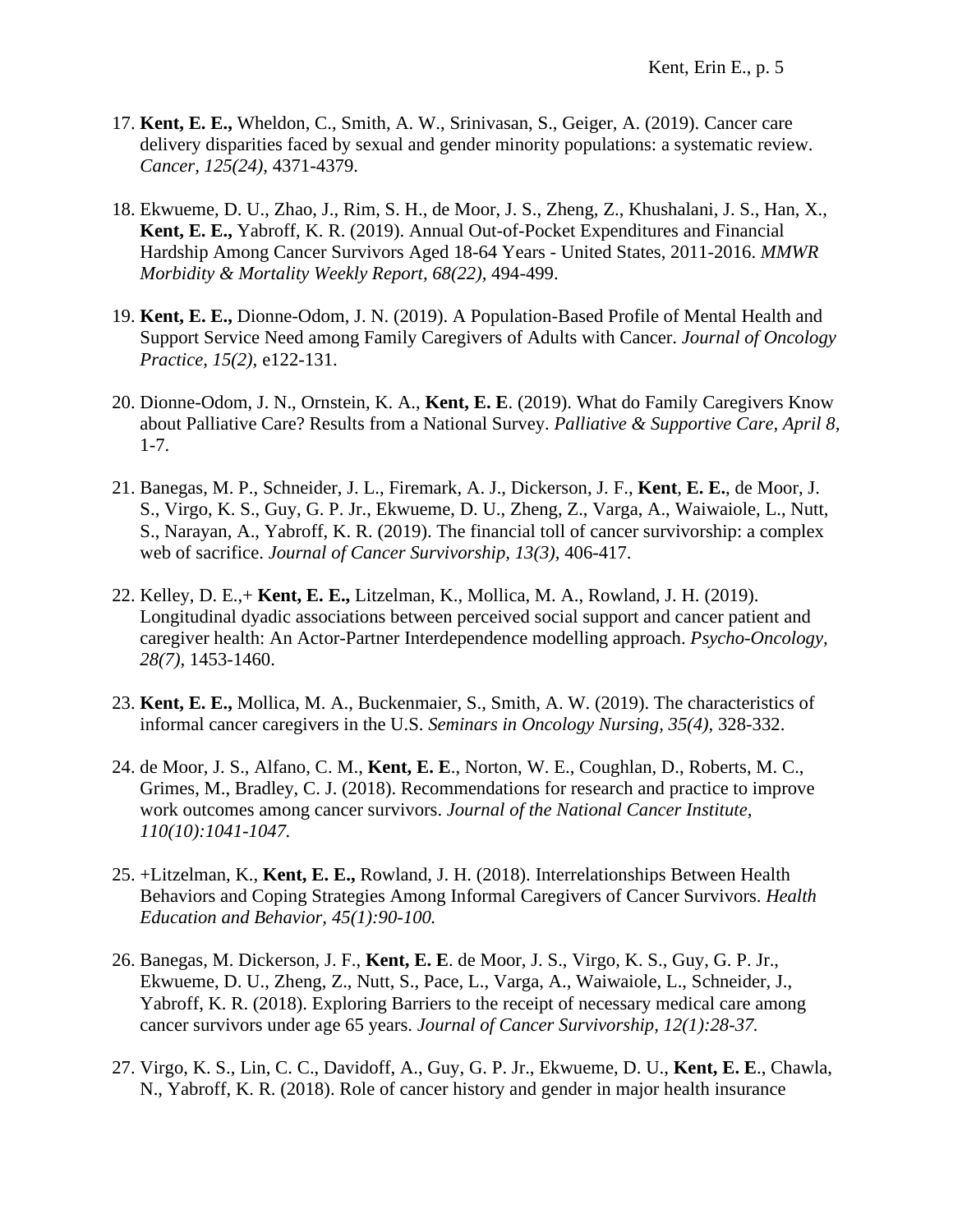- 17. **Kent, E. E.,** Wheldon, C., Smith, A. W., Srinivasan, S., Geiger, A. (2019). Cancer care delivery disparities faced by sexual and gender minority populations: a systematic review. *Cancer, 125(24),* 4371-4379.
- 18. Ekwueme, D. U., Zhao, J., Rim, S. H., de Moor, J. S., Zheng, Z., Khushalani, J. S., Han, X., **Kent, E. E.,** Yabroff, K. R. (2019). Annual Out-of-Pocket Expenditures and Financial Hardship Among Cancer Survivors Aged 18-64 Years - United States, 2011-2016. *MMWR Morbidity & Mortality Weekly Report, 68(22),* 494-499.
- 19. **Kent, E. E.,** Dionne-Odom, J. N. (2019). A Population-Based Profile of Mental Health and Support Service Need among Family Caregivers of Adults with Cancer. *Journal of Oncology Practice, 15(2),* e122-131.
- 20. Dionne-Odom, J. N., Ornstein, K. A., **Kent, E. E**. (2019). What do Family Caregivers Know about Palliative Care? Results from a National Survey. *Palliative & Supportive Care, April 8,*  1-7.
- 21. Banegas, M. P., Schneider, J. L., Firemark, A. J., Dickerson, J. F., **Kent**, **E. E.**, de Moor, J. S., Virgo, K. S., Guy, G. P. Jr., Ekwueme, D. U., Zheng, Z., Varga, A., Waiwaiole, L., Nutt, S., Narayan, A., Yabroff, K. R. (2019). The financial toll of cancer survivorship: a complex web of sacrifice. *Journal of Cancer Survivorship, 13(3),* 406-417.
- 22. Kelley, D. E.,+ **Kent, E. E.,** Litzelman, K., Mollica, M. A., Rowland, J. H. (2019). Longitudinal dyadic associations between perceived social support and cancer patient and caregiver health: An Actor-Partner Interdependence modelling approach. *Psycho-Oncology, 28(7),* 1453-1460.
- 23. **Kent, E. E.,** Mollica, M. A., Buckenmaier, S., Smith, A. W. (2019). The characteristics of informal cancer caregivers in the U.S. *Seminars in Oncology Nursing, 35(4),* 328-332.
- 24. de Moor, J. S., Alfano, C. M., **Kent, E. E**., Norton, W. E., Coughlan, D., Roberts, M. C., Grimes, M., Bradley, C. J. (2018). Recommendations for research and practice to improve work outcomes among cancer survivors. *Journal of the National Cancer Institute, 110(10):1041-1047.*
- 25. +Litzelman, K., **Kent, E. E.,** Rowland, J. H. (2018). Interrelationships Between Health Behaviors and Coping Strategies Among Informal Caregivers of Cancer Survivors. *Health Education and Behavior, 45(1):90-100.*
- 26. Banegas, M. Dickerson, J. F., **Kent, E. E**. de Moor, J. S., Virgo, K. S., Guy, G. P. Jr., Ekwueme, D. U., Zheng, Z., Nutt, S., Pace, L., Varga, A., Waiwaiole, L., Schneider, J., Yabroff, K. R. (2018). Exploring Barriers to the receipt of necessary medical care among cancer survivors under age 65 years. *Journal of Cancer Survivorship, 12(1):28-37.*
- 27. Virgo, K. S., Lin, C. C., Davidoff, A., Guy, G. P. Jr., Ekwueme, D. U., **Kent, E. E**., Chawla, N., Yabroff, K. R. (2018). Role of cancer history and gender in major health insurance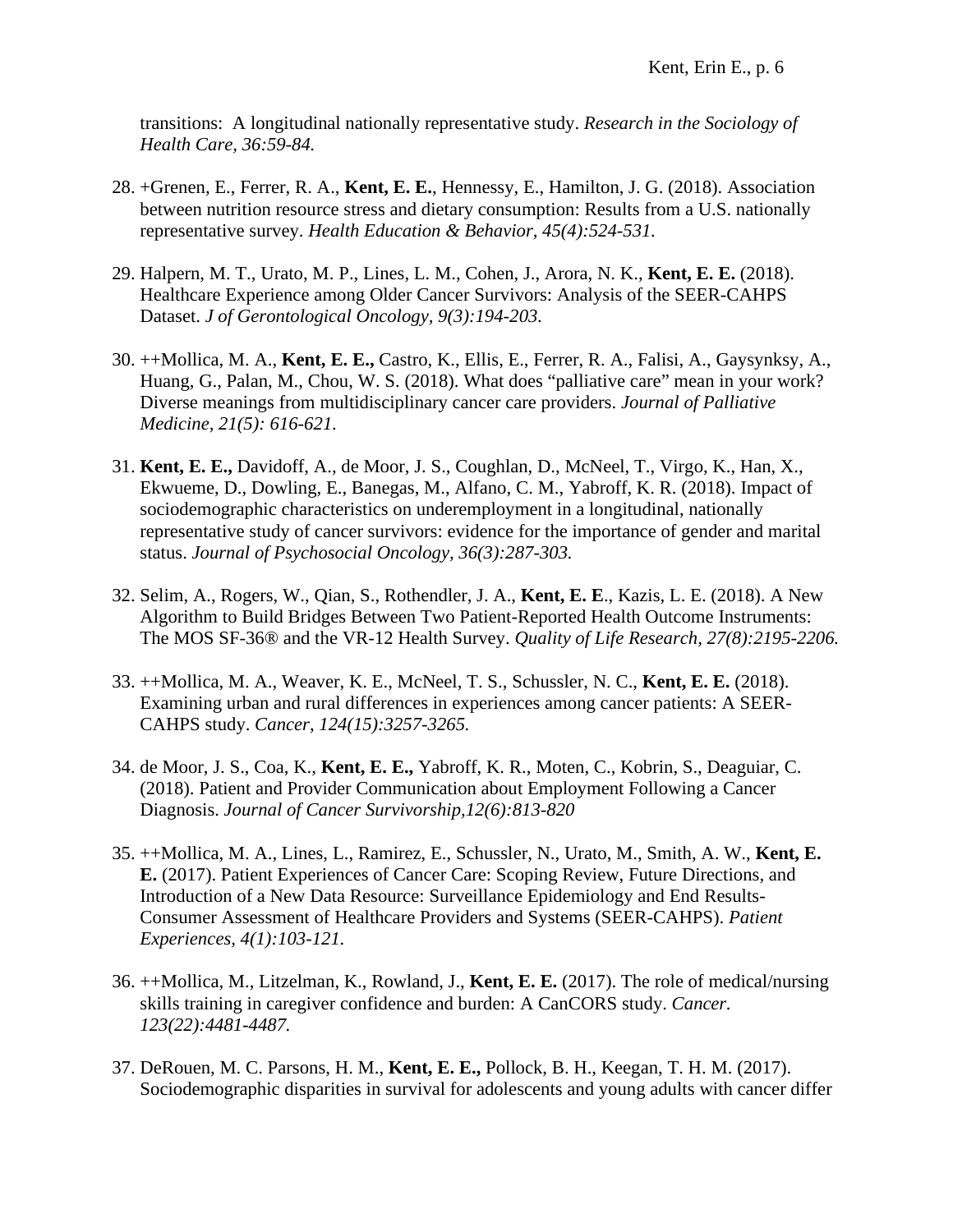transitions: A longitudinal nationally representative study. *Research in the Sociology of Health Care, 36:59-84.*

- 28. +Grenen, E., Ferrer, R. A., **Kent, E. E.**, Hennessy, E., Hamilton, J. G. (2018). Association between nutrition resource stress and dietary consumption: Results from a U.S. nationally representative survey. *Health Education & Behavior, 45(4):524-531.*
- 29. Halpern, M. T., Urato, M. P., Lines, L. M., Cohen, J., Arora, N. K., **Kent, E. E.** (2018). Healthcare Experience among Older Cancer Survivors: Analysis of the SEER-CAHPS Dataset. *J of Gerontological Oncology, 9(3):194-203.*
- 30. ++Mollica, M. A., **Kent, E. E.,** Castro, K., Ellis, E., Ferrer, R. A., Falisi, A., Gaysynksy, A., Huang, G., Palan, M., Chou, W. S. (2018). What does "palliative care" mean in your work? Diverse meanings from multidisciplinary cancer care providers. *Journal of Palliative Medicine, 21(5): 616-621.*
- 31. **Kent, E. E.,** Davidoff, A., de Moor, J. S., Coughlan, D., McNeel, T., Virgo, K., Han, X., Ekwueme, D., Dowling, E., Banegas, M., Alfano, C. M., Yabroff, K. R. (2018). Impact of sociodemographic characteristics on underemployment in a longitudinal, nationally representative study of cancer survivors: evidence for the importance of gender and marital status. *Journal of Psychosocial Oncology, 36(3):287-303.*
- 32. Selim, A., Rogers, W., Qian, S., Rothendler, J. A., **Kent, E. E**., Kazis, L. E. (2018). A New Algorithm to Build Bridges Between Two Patient-Reported Health Outcome Instruments: The MOS SF-36® and the VR-12 Health Survey. *Quality of Life Research, 27(8):2195-2206.*
- 33. ++Mollica, M. A., Weaver, K. E., McNeel, T. S., Schussler, N. C., **Kent, E. E.** (2018). Examining urban and rural differences in experiences among cancer patients: A SEER-CAHPS study. *Cancer*, *124(15):3257-3265.*
- 34. de Moor, J. S., Coa, K., **Kent, E. E.,** Yabroff, K. R., Moten, C., Kobrin, S., Deaguiar, C. (2018). Patient and Provider Communication about Employment Following a Cancer Diagnosis. *Journal of Cancer Survivorship,12(6):813-820*
- 35. ++Mollica, M. A., Lines, L., Ramirez, E., Schussler, N., Urato, M., Smith, A. W., **Kent, E. E.** (2017). Patient Experiences of Cancer Care: Scoping Review, Future Directions, and Introduction of a New Data Resource: Surveillance Epidemiology and End Results-Consumer Assessment of Healthcare Providers and Systems (SEER-CAHPS). *Patient Experiences, 4(1):103-121.*
- 36. ++Mollica, M., Litzelman, K., Rowland, J., **Kent, E. E.** (2017). The role of medical/nursing skills training in caregiver confidence and burden: A CanCORS study. *Cancer. 123(22):4481-4487.*
- 37. DeRouen, M. C. Parsons, H. M., **Kent, E. E.,** Pollock, B. H., Keegan, T. H. M. (2017). Sociodemographic disparities in survival for adolescents and young adults with cancer differ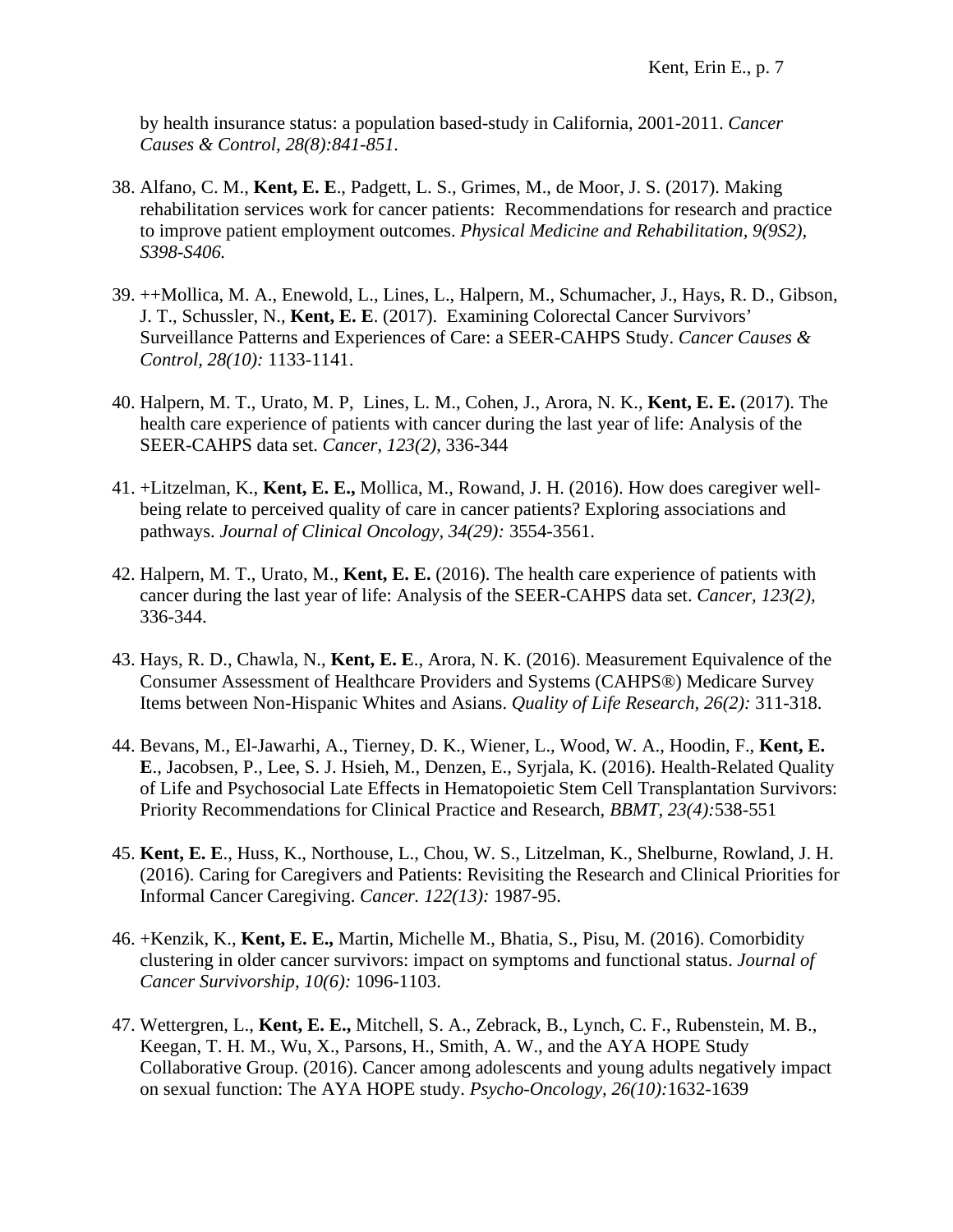by health insurance status: a population based-study in California, 2001-2011. *Cancer Causes & Control, 28(8):841-851.*

- 38. Alfano, C. M., **Kent, E. E**., Padgett, L. S., Grimes, M., de Moor, J. S. (2017). Making rehabilitation services work for cancer patients: Recommendations for research and practice to improve patient employment outcomes. *Physical Medicine and Rehabilitation, 9(9S2), S398-S406.*
- 39. ++Mollica, M. A., Enewold, L., Lines, L., Halpern, M., Schumacher, J., Hays, R. D., Gibson, J. T., Schussler, N., **Kent, E. E**. (2017). Examining Colorectal Cancer Survivors' Surveillance Patterns and Experiences of Care: a SEER-CAHPS Study. *Cancer Causes & Control, 28(10):* 1133-1141.
- 40. Halpern, M. T., Urato, M. P, Lines, L. M., Cohen, J., Arora, N. K., **Kent, E. E.** (2017). The health care experience of patients with cancer during the last year of life: Analysis of the SEER-CAHPS data set. *Cancer*, *123(2)*, 336-344
- 41. +Litzelman, K., **Kent, E. E.,** Mollica, M., Rowand, J. H. (2016). How does caregiver wellbeing relate to perceived quality of care in cancer patients? Exploring associations and pathways. *Journal of Clinical Oncology, 34(29):* 3554-3561.
- 42. Halpern, M. T., Urato, M., **Kent, E. E.** (2016). The health care experience of patients with cancer during the last year of life: Analysis of the SEER-CAHPS data set. *Cancer, 123(2),*  336-344.
- 43. Hays, R. D., Chawla, N., **Kent, E. E**., Arora, N. K. (2016). Measurement Equivalence of the Consumer Assessment of Healthcare Providers and Systems (CAHPS®) Medicare Survey Items between Non-Hispanic Whites and Asians. *Quality of Life Research, 26(2):* 311-318.
- 44. Bevans, M., El-Jawarhi, A., Tierney, D. K., Wiener, L., Wood, W. A., Hoodin, F., **Kent, E. E**., Jacobsen, P., Lee, S. J. Hsieh, M., Denzen, E., Syrjala, K. (2016). Health-Related Quality of Life and Psychosocial Late Effects in Hematopoietic Stem Cell Transplantation Survivors: Priority Recommendations for Clinical Practice and Research, *BBMT, 23(4):*538-551
- 45. **Kent, E. E**., Huss, K., Northouse, L., Chou, W. S., Litzelman, K., Shelburne, Rowland, J. H. (2016). Caring for Caregivers and Patients: Revisiting the Research and Clinical Priorities for Informal Cancer Caregiving. *Cancer. 122(13):* 1987-95.
- 46. +Kenzik, K., **Kent, E. E.,** Martin, Michelle M., Bhatia, S., Pisu, M. (2016). Comorbidity clustering in older cancer survivors: impact on symptoms and functional status. *Journal of Cancer Survivorship, 10(6):* 1096-1103.
- 47. Wettergren, L., **Kent, E. E.,** Mitchell, S. A., Zebrack, B., Lynch, C. F., Rubenstein, M. B., Keegan, T. H. M., Wu, X., Parsons, H., Smith, A. W., and the AYA HOPE Study Collaborative Group. (2016). Cancer among adolescents and young adults negatively impact on sexual function: The AYA HOPE study. *Psycho-Oncology, 26(10):*1632-1639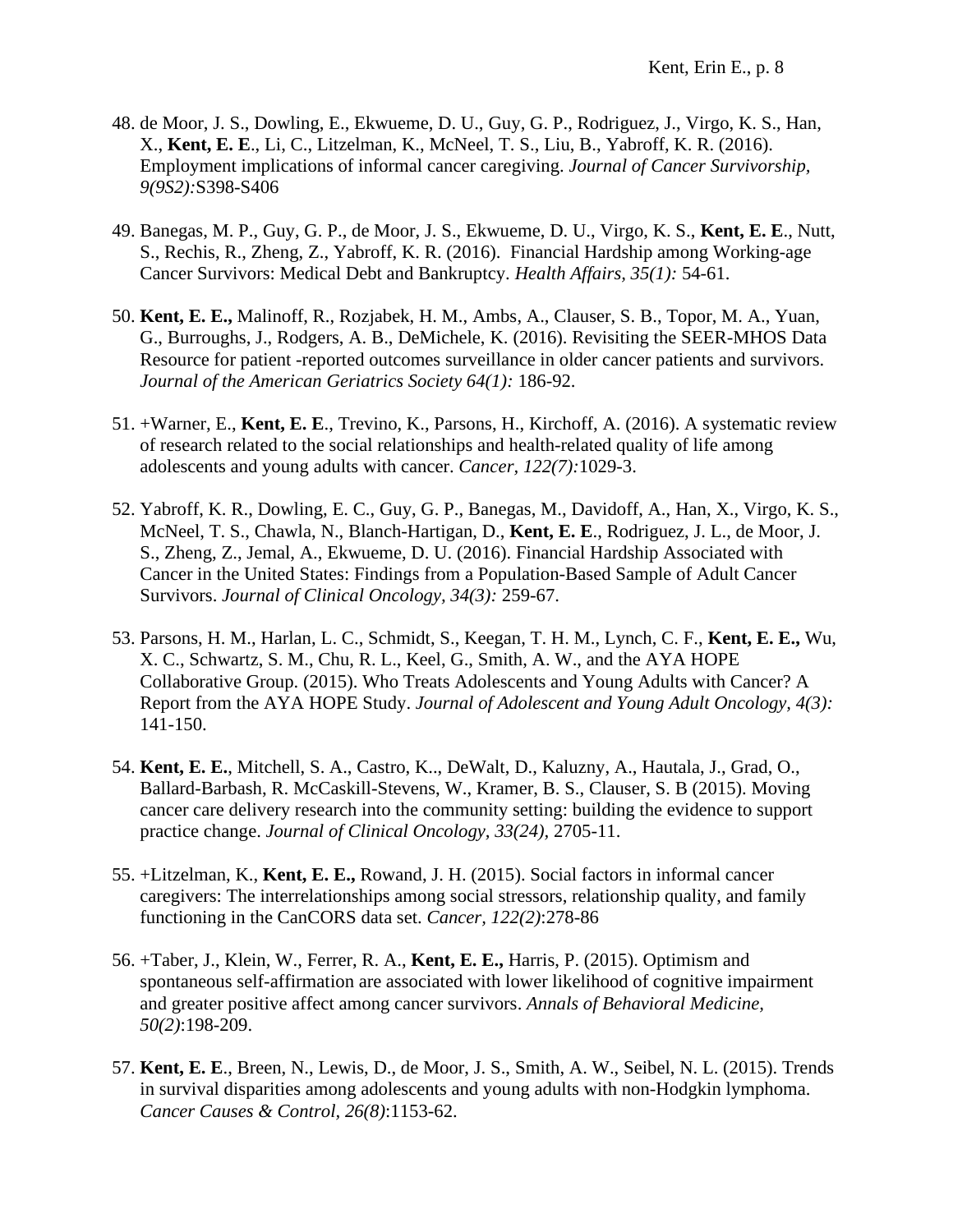- 48. de Moor, J. S., Dowling, E., Ekwueme, D. U., Guy, G. P., Rodriguez, J., Virgo, K. S., Han, X., **Kent, E. E**., Li, C., Litzelman, K., McNeel, T. S., Liu, B., Yabroff, K. R. (2016). Employment implications of informal cancer caregiving. *Journal of Cancer Survivorship, 9(9S2):*S398-S406
- 49. Banegas, M. P., Guy, G. P., de Moor, J. S., Ekwueme, D. U., Virgo, K. S., **Kent, E. E**., Nutt, S., Rechis, R., Zheng, Z., Yabroff, K. R. (2016). Financial Hardship among Working-age Cancer Survivors: Medical Debt and Bankruptcy. *Health Affairs, 35(1):* 54-61.
- 50. **Kent, E. E.,** Malinoff, R., Rozjabek, H. M., Ambs, A., Clauser, S. B., Topor, M. A., Yuan, G., Burroughs, J., Rodgers, A. B., DeMichele, K. (2016). Revisiting the SEER-MHOS Data Resource for patient -reported outcomes surveillance in older cancer patients and survivors. *Journal of the American Geriatrics Society 64(1):* 186-92.
- 51. +Warner, E., **Kent, E. E**., Trevino, K., Parsons, H., Kirchoff, A. (2016). A systematic review of research related to the social relationships and health-related quality of life among adolescents and young adults with cancer. *Cancer, 122(7):*1029-3.
- 52. Yabroff, K. R., Dowling, E. C., Guy, G. P., Banegas, M., Davidoff, A., Han, X., Virgo, K. S., McNeel, T. S., Chawla, N., Blanch-Hartigan, D., **Kent, E. E**., Rodriguez, J. L., de Moor, J. S., Zheng, Z., Jemal, A., Ekwueme, D. U. (2016). Financial Hardship Associated with Cancer in the United States: Findings from a Population-Based Sample of Adult Cancer Survivors. *Journal of Clinical Oncology, 34(3):* 259-67.
- 53. Parsons, H. M., Harlan, L. C., Schmidt, S., Keegan, T. H. M., Lynch, C. F., **Kent, E. E.,** Wu, X. C., Schwartz, S. M., Chu, R. L., Keel, G., Smith, A. W., and the AYA HOPE Collaborative Group. (2015). Who Treats Adolescents and Young Adults with Cancer? A Report from the AYA HOPE Study. *Journal of Adolescent and Young Adult Oncology, 4(3):* 141-150.
- 54. **Kent, E. E.**, Mitchell, S. A., Castro, K.., DeWalt, D., Kaluzny, A., Hautala, J., Grad, O., Ballard-Barbash, R. McCaskill-Stevens, W., Kramer, B. S., Clauser, S. B (2015). Moving cancer care delivery research into the community setting: building the evidence to support practice change. *Journal of Clinical Oncology, 33(24),* 2705-11.
- 55. +Litzelman, K., **Kent, E. E.,** Rowand, J. H. (2015). Social factors in informal cancer caregivers: The interrelationships among social stressors, relationship quality, and family functioning in the CanCORS data set. *Cancer, 122(2)*:278-86
- 56. +Taber, J., Klein, W., Ferrer, R. A., **Kent, E. E.,** Harris, P. (2015). Optimism and spontaneous self-affirmation are associated with lower likelihood of cognitive impairment and greater positive affect among cancer survivors. *Annals of Behavioral Medicine, 50(2)*:198-209.
- 57. **Kent, E. E**., Breen, N., Lewis, D., de Moor, J. S., Smith, A. W., Seibel, N. L. (2015). Trends in survival disparities among adolescents and young adults with non-Hodgkin lymphoma. *Cancer Causes & Control, 26(8)*:1153-62.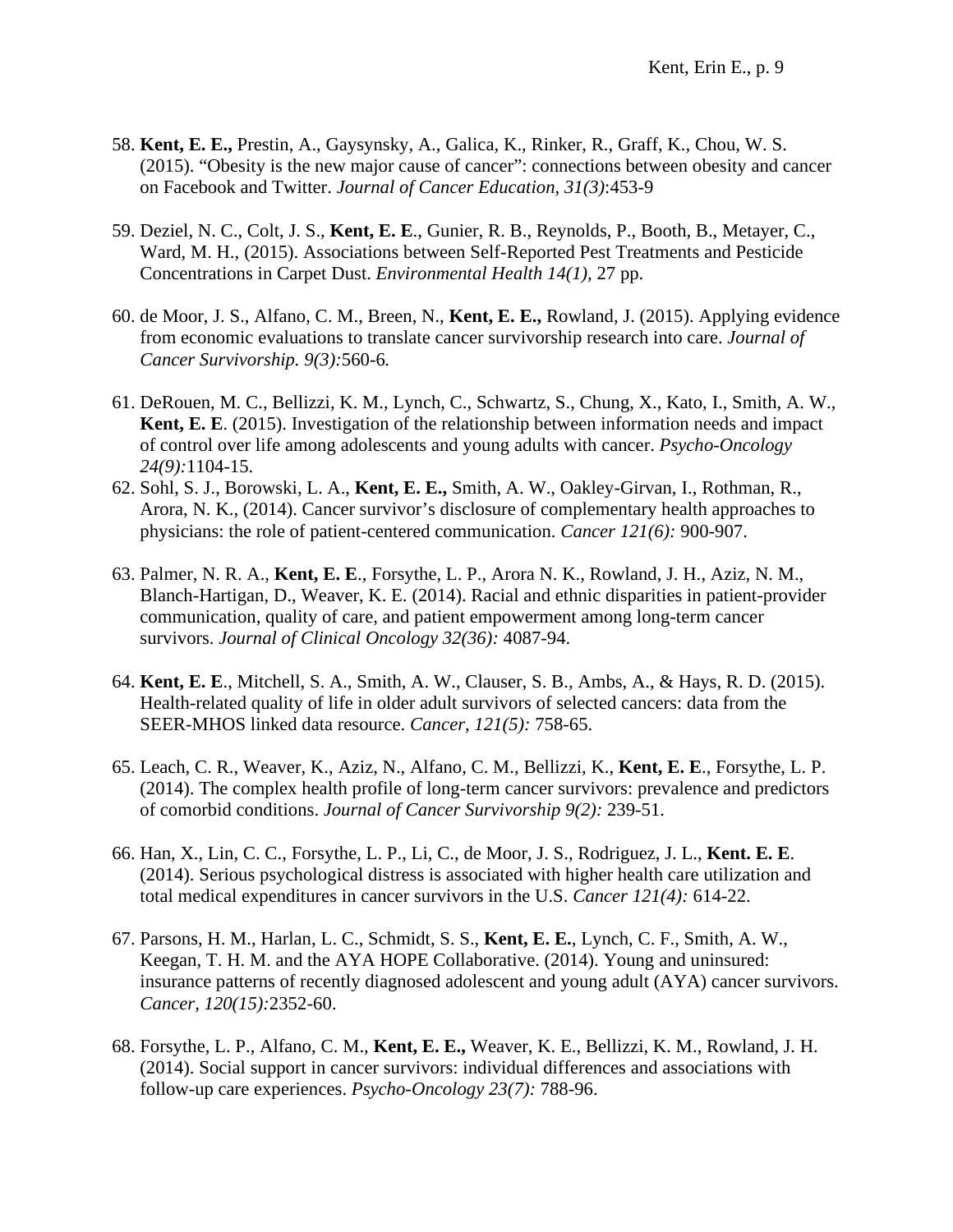- 58. **Kent, E. E.,** Prestin, A., Gaysynsky, A., Galica, K., Rinker, R., Graff, K., Chou, W. S. (2015). "Obesity is the new major cause of cancer": connections between obesity and cancer on Facebook and Twitter. *Journal of Cancer Education, 31(3)*:453-9
- 59. Deziel, N. C., Colt, J. S., **Kent, E. E**., Gunier, R. B., Reynolds, P., Booth, B., Metayer, C., Ward, M. H., (2015). Associations between Self-Reported Pest Treatments and Pesticide Concentrations in Carpet Dust. *Environmental Health 14(1),* 27 pp.
- 60. de Moor, J. S., Alfano, C. M., Breen, N., **Kent, E. E.,** Rowland, J. (2015). Applying evidence from economic evaluations to translate cancer survivorship research into care. *Journal of Cancer Survivorship. 9(3):*560-6*.*
- 61. DeRouen, M. C., Bellizzi, K. M., Lynch, C., Schwartz, S., Chung, X., Kato, I., Smith, A. W., **Kent, E. E**. (2015). Investigation of the relationship between information needs and impact of control over life among adolescents and young adults with cancer. *Psycho-Oncology 24(9):*1104-15.
- 62. Sohl, S. J., Borowski, L. A., **Kent, E. E.,** Smith, A. W., Oakley-Girvan, I., Rothman, R., Arora, N. K., (2014). Cancer survivor's disclosure of complementary health approaches to physicians: the role of patient-centered communication. *Cancer 121(6):* 900-907.
- 63. Palmer, N. R. A., **Kent, E. E**., Forsythe, L. P., Arora N. K., Rowland, J. H., Aziz, N. M., Blanch-Hartigan, D., Weaver, K. E. (2014). Racial and ethnic disparities in patient-provider communication, quality of care, and patient empowerment among long-term cancer survivors. *Journal of Clinical Oncology 32(36):* 4087-94.
- 64. **Kent, E. E**., Mitchell, S. A., Smith, A. W., Clauser, S. B., Ambs, A., & Hays, R. D. (2015). Health-related quality of life in older adult survivors of selected cancers: data from the SEER-MHOS linked data resource. *Cancer, 121(5):* 758-65.
- 65. Leach, C. R., Weaver, K., Aziz, N., Alfano, C. M., Bellizzi, K., **Kent, E. E**., Forsythe, L. P. (2014). The complex health profile of long-term cancer survivors: prevalence and predictors of comorbid conditions. *Journal of Cancer Survivorship 9(2):* 239-51.
- 66. Han, X., Lin, C. C., Forsythe, L. P., Li, C., de Moor, J. S., Rodriguez, J. L., **Kent. E. E**. (2014). Serious psychological distress is associated with higher health care utilization and total medical expenditures in cancer survivors in the U.S. *Cancer 121(4):* 614-22.
- 67. Parsons, H. M., Harlan, L. C., Schmidt, S. S., **Kent, E. E.**, Lynch, C. F., Smith, A. W., Keegan, T. H. M. and the AYA HOPE Collaborative. (2014). Young and uninsured: insurance patterns of recently diagnosed adolescent and young adult (AYA) cancer survivors. *Cancer, 120(15):*2352-60.
- 68. Forsythe, L. P., Alfano, C. M., **Kent, E. E.,** Weaver, K. E., Bellizzi, K. M., Rowland, J. H. (2014). Social support in cancer survivors: individual differences and associations with follow-up care experiences. *Psycho-Oncology 23(7):* 788-96.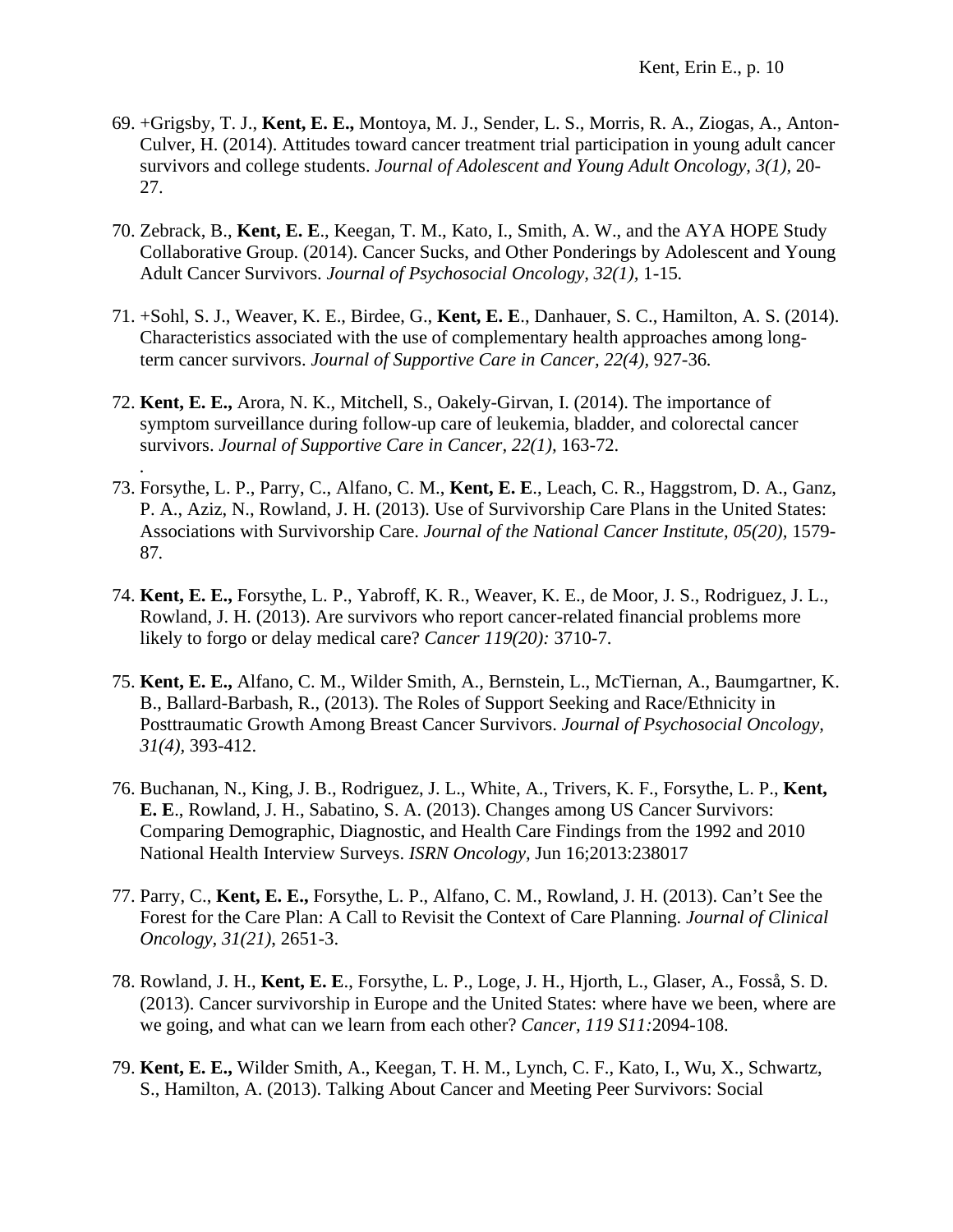- 69. +Grigsby, T. J., **Kent, E. E.,** Montoya, M. J., Sender, L. S., Morris, R. A., Ziogas, A., Anton-Culver, H. (2014). Attitudes toward cancer treatment trial participation in young adult cancer survivors and college students. *Journal of Adolescent and Young Adult Oncology, 3(1),* 20- 27.
- 70. Zebrack, B., **Kent, E. E**., Keegan, T. M., Kato, I., Smith, A. W., and the AYA HOPE Study Collaborative Group. (2014). Cancer Sucks, and Other Ponderings by Adolescent and Young Adult Cancer Survivors. *Journal of Psychosocial Oncology, 32(1),* 1-15*.*
- 71. +Sohl, S. J., Weaver, K. E., Birdee, G., **Kent, E. E**., Danhauer, S. C., Hamilton, A. S. (2014). Characteristics associated with the use of complementary health approaches among longterm cancer survivors. *Journal of Supportive Care in Cancer, 22(4),* 927-36*.*
- 72. **Kent, E. E.,** Arora, N. K., Mitchell, S., Oakely-Girvan, I. (2014). The importance of symptom surveillance during follow-up care of leukemia, bladder, and colorectal cancer survivors. *Journal of Supportive Care in Cancer, 22(1),* 163-72.

*.*

- 73. Forsythe, L. P., Parry, C., Alfano, C. M., **Kent, E. E**., Leach, C. R., Haggstrom, D. A., Ganz, P. A., Aziz, N., Rowland, J. H. (2013). Use of Survivorship Care Plans in the United States: Associations with Survivorship Care. *Journal of the National Cancer Institute, 05(20),* 1579- 87*.*
- 74. **Kent, E. E.,** Forsythe, L. P., Yabroff, K. R., Weaver, K. E., de Moor, J. S., Rodriguez, J. L., Rowland, J. H. (2013). Are survivors who report cancer-related financial problems more likely to forgo or delay medical care? *Cancer 119(20):* 3710-7.
- 75. **Kent, E. E.,** Alfano, C. M., Wilder Smith, A., Bernstein, L., McTiernan, A., Baumgartner, K. B., Ballard-Barbash, R., (2013). The Roles of Support Seeking and Race/Ethnicity in Posttraumatic Growth Among Breast Cancer Survivors. *Journal of Psychosocial Oncology, 31(4),* 393-412.
- 76. Buchanan, N., King, J. B., Rodriguez, J. L., White, A., Trivers, K. F., Forsythe, L. P., **Kent, E. E**., Rowland, J. H., Sabatino, S. A. (2013). Changes among US Cancer Survivors: Comparing Demographic, Diagnostic, and Health Care Findings from the 1992 and 2010 National Health Interview Surveys. *ISRN Oncology,* Jun 16;2013:238017
- 77. Parry, C., **Kent, E. E.,** Forsythe, L. P., Alfano, C. M., Rowland, J. H. (2013). Can't See the Forest for the Care Plan: A Call to Revisit the Context of Care Planning. *Journal of Clinical Oncology, 31(21)*, 2651-3.
- 78. Rowland, J. H., **Kent, E. E**., Forsythe, L. P., Loge, J. H., Hjorth, L., Glaser, A., Fosså, S. D. (2013). Cancer survivorship in Europe and the United States: where have we been, where are we going, and what can we learn from each other? *Cancer, 119 S11:*2094-108.
- 79. **Kent, E. E.,** Wilder Smith, A., Keegan, T. H. M., Lynch, C. F., Kato, I., Wu, X., Schwartz, S., Hamilton, A. (2013). Talking About Cancer and Meeting Peer Survivors: Social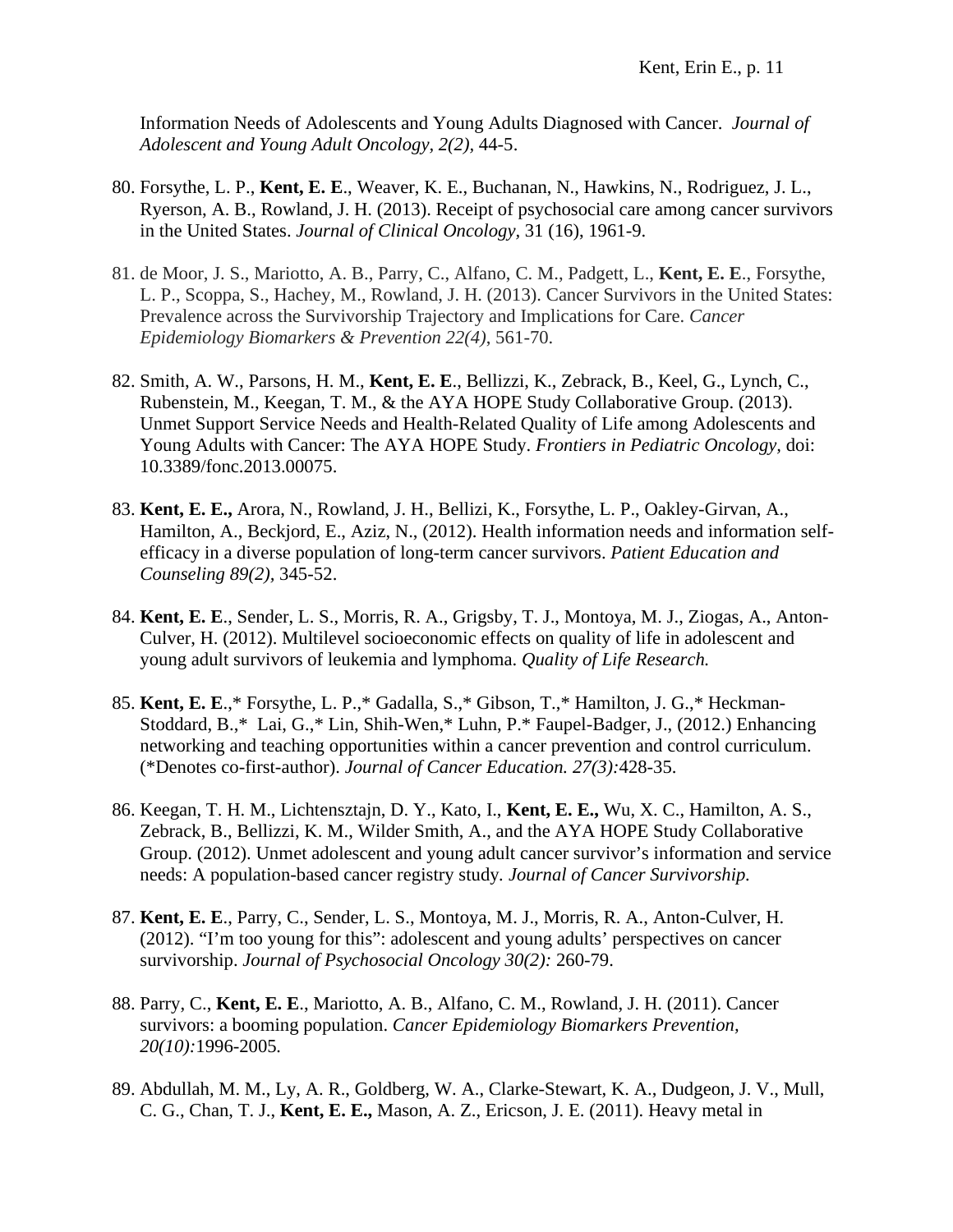Information Needs of Adolescents and Young Adults Diagnosed with Cancer. *Journal of Adolescent and Young Adult Oncology, 2(2),* 44-5.

- 80. Forsythe, L. P., **Kent, E. E**., Weaver, K. E., Buchanan, N., Hawkins, N., Rodriguez, J. L., Ryerson, A. B., Rowland, J. H. (2013). Receipt of psychosocial care among cancer survivors in the United States. *Journal of Clinical Oncology,* 31 (16), 1961-9.
- 81. de Moor, J. S., Mariotto, A. B., Parry, C., Alfano, C. M., Padgett, L., **Kent, E. E**., Forsythe, L. P., Scoppa, S., Hachey, M., Rowland, J. H. (2013). Cancer Survivors in the United States: Prevalence across the Survivorship Trajectory and Implications for Care. *Cancer Epidemiology Biomarkers & Prevention 22(4)*, 561-70.
- 82. Smith, A. W., Parsons, H. M., **Kent, E. E**., Bellizzi, K., Zebrack, B., Keel, G., Lynch, C., Rubenstein, M., Keegan, T. M., & the AYA HOPE Study Collaborative Group. (2013). Unmet Support Service Needs and Health-Related Quality of Life among Adolescents and Young Adults with Cancer: The AYA HOPE Study. *Frontiers in Pediatric Oncology,* doi: 10.3389/fonc.2013.00075.
- 83. **Kent, E. E.,** Arora, N., Rowland, J. H., Bellizi, K., Forsythe, L. P., Oakley-Girvan, A., Hamilton, A., Beckjord, E., Aziz, N., (2012). Health information needs and information selfefficacy in a diverse population of long-term cancer survivors. *Patient Education and Counseling 89(2),* 345-52.
- 84. **Kent, E. E**., Sender, L. S., Morris, R. A., Grigsby, T. J., Montoya, M. J., Ziogas, A., Anton-Culver, H. (2012). Multilevel socioeconomic effects on quality of life in adolescent and young adult survivors of leukemia and lymphoma. *Quality of Life Research.*
- 85. **Kent, E. E**.,\* Forsythe, L. P.,\* Gadalla, S.,\* Gibson, T.,\* Hamilton, J. G.,\* Heckman-Stoddard, B.,\* Lai, G.,\* Lin, Shih-Wen,\* Luhn, P.\* Faupel-Badger, J., (2012.) Enhancing networking and teaching opportunities within a cancer prevention and control curriculum. (\*Denotes co-first-author). *Journal of Cancer Education. 27(3):*428-35.
- 86. Keegan, T. H. M., Lichtensztajn, D. Y., Kato, I., **Kent, E. E.,** Wu, X. C., Hamilton, A. S., Zebrack, B., Bellizzi, K. M., Wilder Smith, A., and the AYA HOPE Study Collaborative Group. (2012). Unmet adolescent and young adult cancer survivor's information and service needs: A population-based cancer registry study*. Journal of Cancer Survivorship.*
- 87. **Kent, E. E**., Parry, C., Sender, L. S., Montoya, M. J., Morris, R. A., Anton-Culver, H. (2012). "I'm too young for this": adolescent and young adults' perspectives on cancer survivorship. *Journal of Psychosocial Oncology 30(2):* 260-79.
- 88. Parry, C., **Kent, E. E**., Mariotto, A. B., Alfano, C. M., Rowland, J. H. (2011). Cancer survivors: a booming population. *Cancer Epidemiology Biomarkers Prevention, 20(10):*1996-2005*.*
- 89. Abdullah, M. M., Ly, A. R., Goldberg, W. A., Clarke-Stewart, K. A., Dudgeon, J. V., Mull, C. G., Chan, T. J., **Kent, E. E.,** Mason, A. Z., Ericson, J. E. (2011). Heavy metal in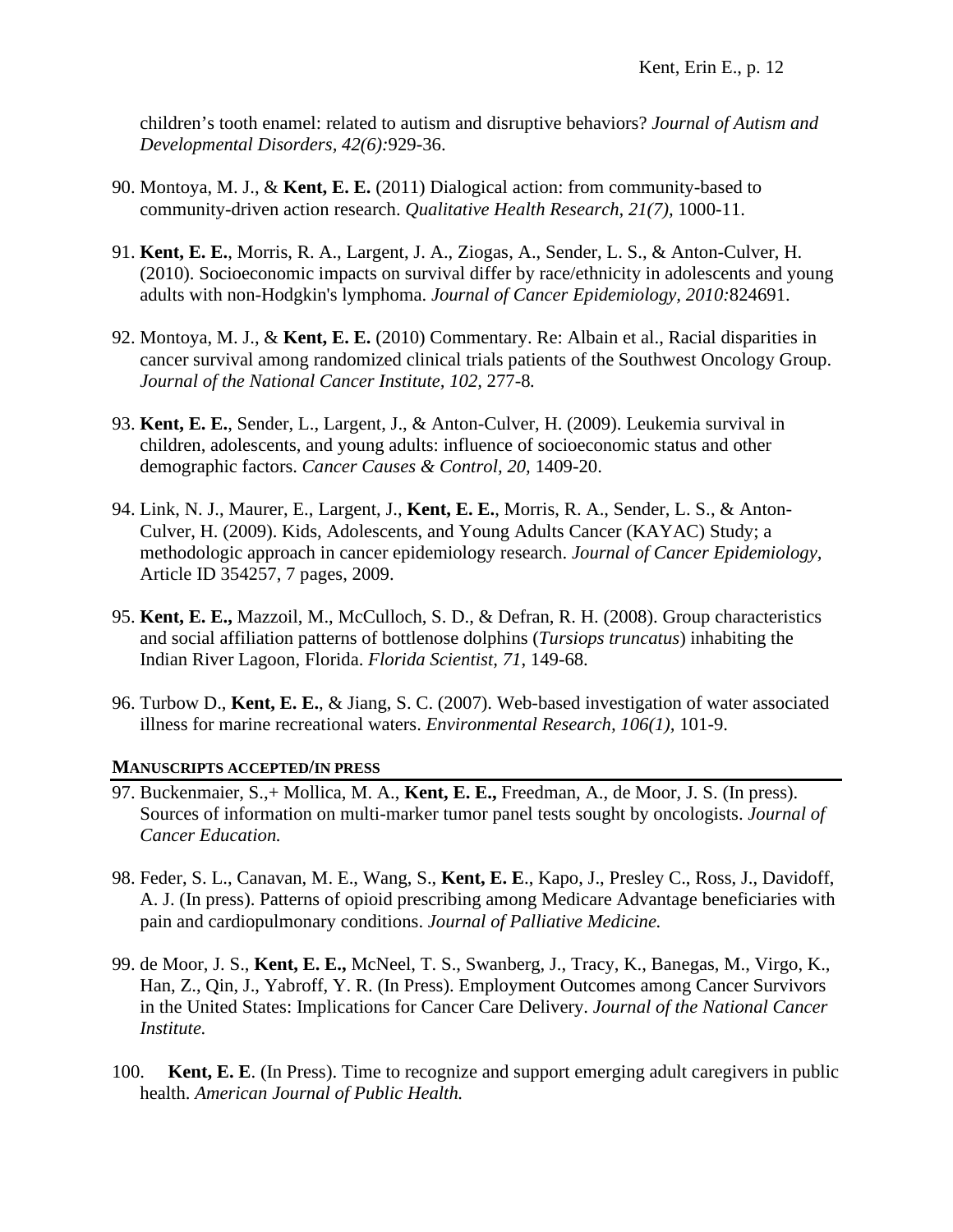children's tooth enamel: related to autism and disruptive behaviors? *Journal of Autism and Developmental Disorders, 42(6):*929-36.

- 90. Montoya, M. J., & **Kent, E. E.** (2011) Dialogical action: from community-based to community-driven action research. *Qualitative Health Research, 21(7),* 1000-11.
- 91. **Kent, E. E.**, Morris, R. A., Largent, J. A., Ziogas, A., Sender, L. S., & Anton-Culver, H. (2010). Socioeconomic impacts on survival differ by race/ethnicity in adolescents and young adults with non-Hodgkin's lymphoma. *Journal of Cancer Epidemiology, 2010:*824691.
- 92. Montoya, M. J., & **Kent, E. E.** (2010) Commentary. Re: Albain et al., Racial disparities in cancer survival among randomized clinical trials patients of the Southwest Oncology Group. *Journal of the National Cancer Institute, 102,* 277-8*.*
- 93. **Kent, E. E.**, Sender, L., Largent, J., & Anton-Culver, H. (2009). Leukemia survival in children, adolescents, and young adults: influence of socioeconomic status and other demographic factors. *Cancer Causes & Control, 20,* 1409-20.
- 94. Link, N. J., Maurer, E., Largent, J., **Kent, E. E.**, Morris, R. A., Sender, L. S., & Anton-Culver, H. (2009). Kids, Adolescents, and Young Adults Cancer (KAYAC) Study; a methodologic approach in cancer epidemiology research. *Journal of Cancer Epidemiology,*  Article ID 354257, 7 pages, 2009.
- 95. **Kent, E. E.,** Mazzoil, M., McCulloch, S. D., & Defran, R. H. (2008). Group characteristics and social affiliation patterns of bottlenose dolphins (*Tursiops truncatus*) inhabiting the Indian River Lagoon, Florida. *Florida Scientist, 71*, 149-68.
- 96. Turbow D., **Kent, E. E.**, & Jiang, S. C. (2007). Web-based investigation of water associated illness for marine recreational waters. *Environmental Research, 106(1),* 101-9.

## **MANUSCRIPTS ACCEPTED/IN PRESS**

- 97. Buckenmaier, S.,+ Mollica, M. A., **Kent, E. E.,** Freedman, A., de Moor, J. S. (In press). Sources of information on multi-marker tumor panel tests sought by oncologists. *Journal of Cancer Education.*
- 98. Feder, S. L., Canavan, M. E., Wang, S., **Kent, E. E**., Kapo, J., Presley C., Ross, J., Davidoff, A. J. (In press). Patterns of opioid prescribing among Medicare Advantage beneficiaries with pain and cardiopulmonary conditions. *Journal of Palliative Medicine.*
- 99. de Moor, J. S., **Kent, E. E.,** McNeel, T. S., Swanberg, J., Tracy, K., Banegas, M., Virgo, K., Han, Z., Qin, J., Yabroff, Y. R. (In Press). Employment Outcomes among Cancer Survivors in the United States: Implications for Cancer Care Delivery. *Journal of the National Cancer Institute.*
- 100. **Kent, E. E**. (In Press). Time to recognize and support emerging adult caregivers in public health. *American Journal of Public Health.*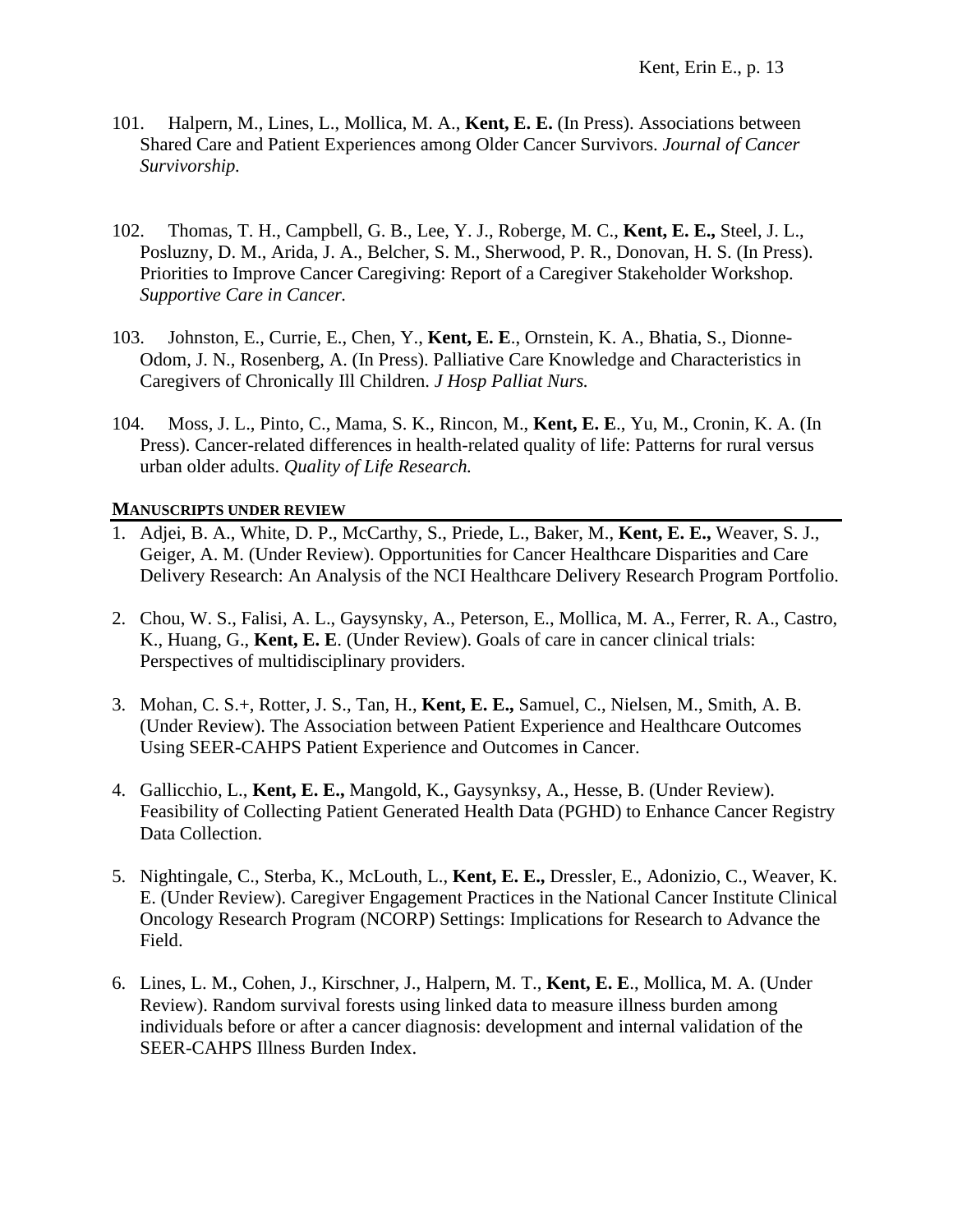- 101. Halpern, M., Lines, L., Mollica, M. A., **Kent, E. E.** (In Press). Associations between Shared Care and Patient Experiences among Older Cancer Survivors. *Journal of Cancer Survivorship.*
- 102. Thomas, T. H., Campbell, G. B., Lee, Y. J., Roberge, M. C., **Kent, E. E.,** Steel, J. L., Posluzny, D. M., Arida, J. A., Belcher, S. M., Sherwood, P. R., Donovan, H. S. (In Press). Priorities to Improve Cancer Caregiving: Report of a Caregiver Stakeholder Workshop. *Supportive Care in Cancer.*
- 103. Johnston, E., Currie, E., Chen, Y., **Kent, E. E**., Ornstein, K. A., Bhatia, S., Dionne-Odom, J. N., Rosenberg, A. (In Press). Palliative Care Knowledge and Characteristics in Caregivers of Chronically Ill Children. *J Hosp Palliat Nurs.*
- 104. Moss, J. L., Pinto, C., Mama, S. K., Rincon, M., **Kent, E. E**., Yu, M., Cronin, K. A. (In Press). Cancer-related differences in health-related quality of life: Patterns for rural versus urban older adults. *Quality of Life Research.*

### **MANUSCRIPTS UNDER REVIEW**

- 1. Adjei, B. A., White, D. P., McCarthy, S., Priede, L., Baker, M., **Kent, E. E.,** Weaver, S. J., Geiger, A. M. (Under Review). Opportunities for Cancer Healthcare Disparities and Care Delivery Research: An Analysis of the NCI Healthcare Delivery Research Program Portfolio.
- 2. Chou, W. S., Falisi, A. L., Gaysynsky, A., Peterson, E., Mollica, M. A., Ferrer, R. A., Castro, K., Huang, G., **Kent, E. E**. (Under Review). Goals of care in cancer clinical trials: Perspectives of multidisciplinary providers.
- 3. Mohan, C. S.+, Rotter, J. S., Tan, H., **Kent, E. E.,** Samuel, C., Nielsen, M., Smith, A. B. (Under Review). The Association between Patient Experience and Healthcare Outcomes Using SEER-CAHPS Patient Experience and Outcomes in Cancer.
- 4. Gallicchio, L., **Kent, E. E.,** Mangold, K., Gaysynksy, A., Hesse, B. (Under Review). Feasibility of Collecting Patient Generated Health Data (PGHD) to Enhance Cancer Registry Data Collection.
- 5. Nightingale, C., Sterba, K., McLouth, L., **Kent, E. E.,** Dressler, E., Adonizio, C., Weaver, K. E. (Under Review). Caregiver Engagement Practices in the National Cancer Institute Clinical Oncology Research Program (NCORP) Settings: Implications for Research to Advance the Field.
- 6. Lines, L. M., Cohen, J., Kirschner, J., Halpern, M. T., **Kent, E. E**., Mollica, M. A. (Under Review). Random survival forests using linked data to measure illness burden among individuals before or after a cancer diagnosis: development and internal validation of the SEER-CAHPS Illness Burden Index.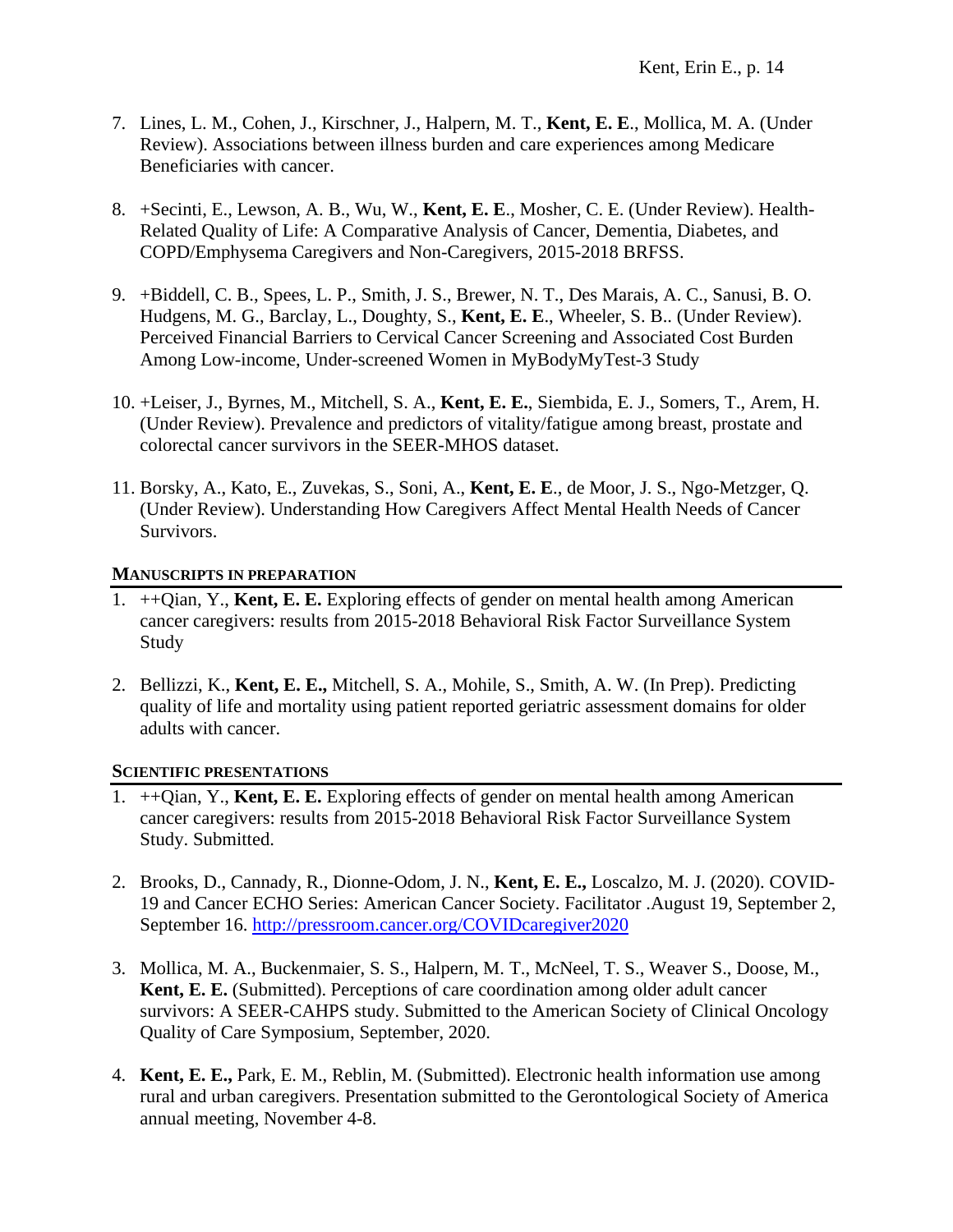- 7. Lines, L. M., Cohen, J., Kirschner, J., Halpern, M. T., **Kent, E. E**., Mollica, M. A. (Under Review). Associations between illness burden and care experiences among Medicare Beneficiaries with cancer.
- 8. +Secinti, E., Lewson, A. B., Wu, W., **Kent, E. E**., Mosher, C. E. (Under Review). Health-Related Quality of Life: A Comparative Analysis of Cancer, Dementia, Diabetes, and COPD/Emphysema Caregivers and Non-Caregivers, 2015-2018 BRFSS.
- 9. +Biddell, C. B., Spees, L. P., Smith, J. S., Brewer, N. T., Des Marais, A. C., Sanusi, B. O. Hudgens, M. G., Barclay, L., Doughty, S., **Kent, E. E**., Wheeler, S. B.. (Under Review). Perceived Financial Barriers to Cervical Cancer Screening and Associated Cost Burden Among Low-income, Under-screened Women in MyBodyMyTest-3 Study
- 10. +Leiser, J., Byrnes, M., Mitchell, S. A., **Kent, E. E.**, Siembida, E. J., Somers, T., Arem, H. (Under Review). Prevalence and predictors of vitality/fatigue among breast, prostate and colorectal cancer survivors in the SEER-MHOS dataset.
- 11. Borsky, A., Kato, E., Zuvekas, S., Soni, A., **Kent, E. E**., de Moor, J. S., Ngo-Metzger, Q. (Under Review). Understanding How Caregivers Affect Mental Health Needs of Cancer Survivors.

### **MANUSCRIPTS IN PREPARATION**

- 1. ++Qian, Y., **Kent, E. E.** Exploring effects of gender on mental health among American cancer caregivers: results from 2015-2018 Behavioral Risk Factor Surveillance System Study
- 2. Bellizzi, K., **Kent, E. E.,** Mitchell, S. A., Mohile, S., Smith, A. W. (In Prep). Predicting quality of life and mortality using patient reported geriatric assessment domains for older adults with cancer.

## **SCIENTIFIC PRESENTATIONS**

- 1. ++Qian, Y., **Kent, E. E.** Exploring effects of gender on mental health among American cancer caregivers: results from 2015-2018 Behavioral Risk Factor Surveillance System Study. Submitted.
- 2. Brooks, D., Cannady, R., Dionne-Odom, J. N., **Kent, E. E.,** Loscalzo, M. J. (2020). COVID-19 and Cancer ECHO Series: American Cancer Society. Facilitator .August 19, September 2, September 16.<http://pressroom.cancer.org/COVIDcaregiver2020>
- 3. Mollica, M. A., Buckenmaier, S. S., Halpern, M. T., McNeel, T. S., Weaver S., Doose, M., **Kent, E. E.** (Submitted). Perceptions of care coordination among older adult cancer survivors: A SEER-CAHPS study. Submitted to the American Society of Clinical Oncology Quality of Care Symposium, September, 2020.
- 4. **Kent, E. E.,** Park, E. M., Reblin, M. (Submitted). Electronic health information use among rural and urban caregivers. Presentation submitted to the Gerontological Society of America annual meeting, November 4-8.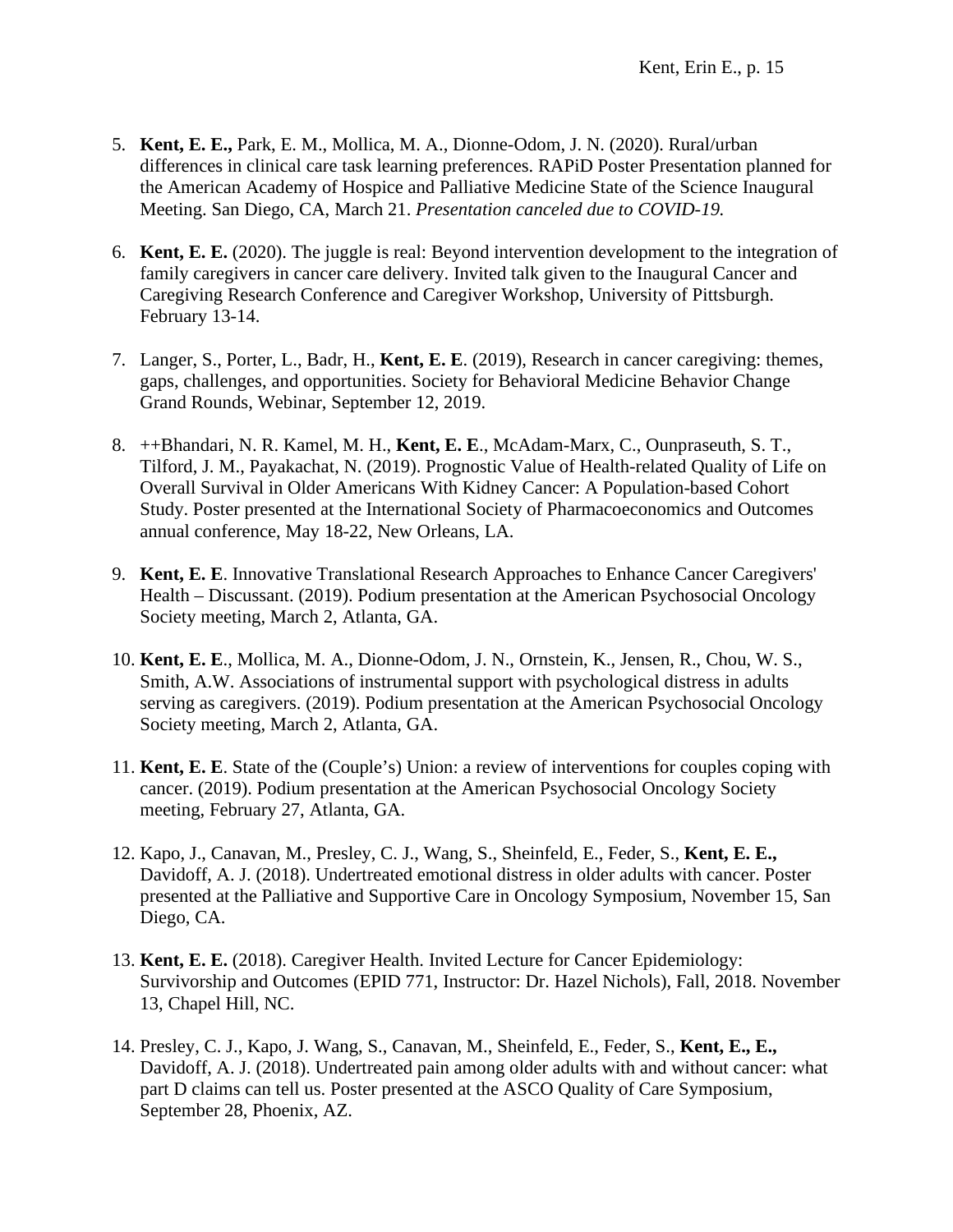- 5. **Kent, E. E.,** Park, E. M., Mollica, M. A., Dionne-Odom, J. N. (2020). Rural/urban differences in clinical care task learning preferences. RAPiD Poster Presentation planned for the American Academy of Hospice and Palliative Medicine State of the Science Inaugural Meeting. San Diego, CA, March 21. *Presentation canceled due to COVID-19.*
- 6. **Kent, E. E.** (2020). The juggle is real: Beyond intervention development to the integration of family caregivers in cancer care delivery. Invited talk given to the Inaugural Cancer and Caregiving Research Conference and Caregiver Workshop, University of Pittsburgh. February 13-14.
- 7. Langer, S., Porter, L., Badr, H., **Kent, E. E**. (2019), Research in cancer caregiving: themes, gaps, challenges, and opportunities. Society for Behavioral Medicine Behavior Change Grand Rounds, Webinar, September 12, 2019.
- 8. ++Bhandari, N. R. Kamel, M. H., **Kent, E. E**., McAdam-Marx, C., Ounpraseuth, S. T., Tilford, J. M., Payakachat, N. (2019). Prognostic Value of Health-related Quality of Life on Overall Survival in Older Americans With Kidney Cancer: A Population-based Cohort Study. Poster presented at the International Society of Pharmacoeconomics and Outcomes annual conference, May 18-22, New Orleans, LA.
- 9. **Kent, E. E**. Innovative Translational Research Approaches to Enhance Cancer Caregivers' Health – Discussant. (2019). Podium presentation at the American Psychosocial Oncology Society meeting, March 2, Atlanta, GA.
- 10. **Kent, E. E**., Mollica, M. A., Dionne-Odom, J. N., Ornstein, K., Jensen, R., Chou, W. S., Smith, A.W. Associations of instrumental support with psychological distress in adults serving as caregivers. (2019). Podium presentation at the American Psychosocial Oncology Society meeting, March 2, Atlanta, GA.
- 11. **Kent, E. E**. State of the (Couple's) Union: a review of interventions for couples coping with cancer. (2019). Podium presentation at the American Psychosocial Oncology Society meeting, February 27, Atlanta, GA.
- 12. Kapo, J., Canavan, M., Presley, C. J., Wang, S., Sheinfeld, E., Feder, S., **Kent, E. E.,** Davidoff, A. J. (2018). Undertreated emotional distress in older adults with cancer. Poster presented at the Palliative and Supportive Care in Oncology Symposium, November 15, San Diego, CA.
- 13. **Kent, E. E.** (2018). Caregiver Health. Invited Lecture for Cancer Epidemiology: Survivorship and Outcomes (EPID 771, Instructor: Dr. Hazel Nichols), Fall, 2018. November 13, Chapel Hill, NC.
- 14. Presley, C. J., Kapo, J. Wang, S., Canavan, M., Sheinfeld, E., Feder, S., **Kent, E., E.,** Davidoff, A. J. (2018). Undertreated pain among older adults with and without cancer: what part D claims can tell us. Poster presented at the ASCO Quality of Care Symposium, September 28, Phoenix, AZ.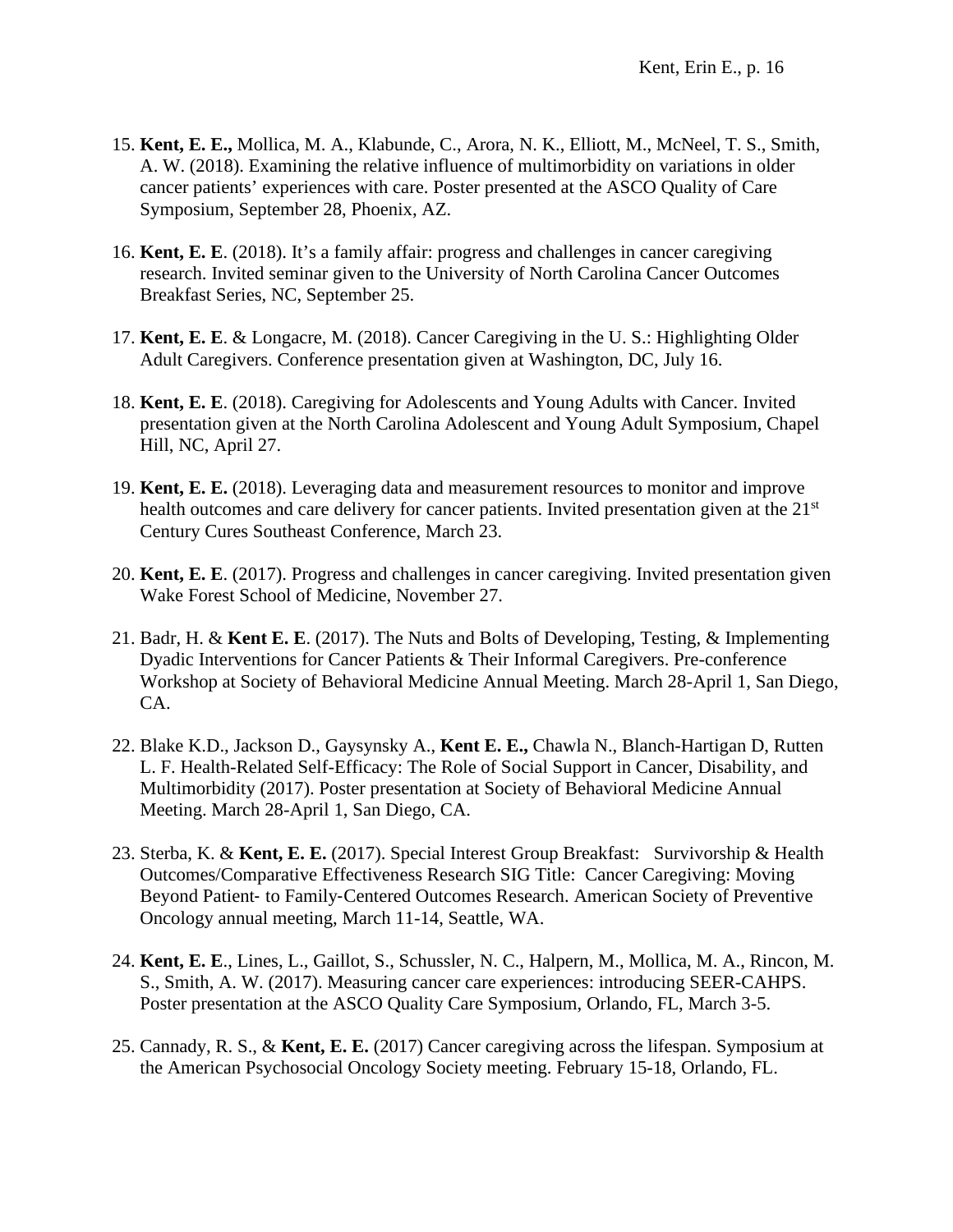- 15. **Kent, E. E.,** Mollica, M. A., Klabunde, C., Arora, N. K., Elliott, M., McNeel, T. S., Smith, A. W. (2018). Examining the relative influence of multimorbidity on variations in older cancer patients' experiences with care. Poster presented at the ASCO Quality of Care Symposium, September 28, Phoenix, AZ.
- 16. **Kent, E. E**. (2018). It's a family affair: progress and challenges in cancer caregiving research. Invited seminar given to the University of North Carolina Cancer Outcomes Breakfast Series, NC, September 25.
- 17. **Kent, E. E**. & Longacre, M. (2018). Cancer Caregiving in the U. S.: Highlighting Older Adult Caregivers. Conference presentation given at Washington, DC, July 16.
- 18. **Kent, E. E**. (2018). Caregiving for Adolescents and Young Adults with Cancer. Invited presentation given at the North Carolina Adolescent and Young Adult Symposium, Chapel Hill, NC, April 27.
- 19. **Kent, E. E.** (2018). Leveraging data and measurement resources to monitor and improve health outcomes and care delivery for cancer patients. Invited presentation given at the 21<sup>st</sup> Century Cures Southeast Conference, March 23.
- 20. **Kent, E. E**. (2017). Progress and challenges in cancer caregiving. Invited presentation given Wake Forest School of Medicine, November 27.
- 21. Badr, H. & **Kent E. E**. (2017). The Nuts and Bolts of Developing, Testing, & Implementing Dyadic Interventions for Cancer Patients & Their Informal Caregivers. Pre-conference Workshop at Society of Behavioral Medicine Annual Meeting. March 28-April 1, San Diego, CA.
- 22. Blake K.D., Jackson D., Gaysynsky A., **Kent E. E.,** Chawla N., Blanch-Hartigan D, Rutten L. F. Health-Related Self-Efficacy: The Role of Social Support in Cancer, Disability, and Multimorbidity (2017). Poster presentation at Society of Behavioral Medicine Annual Meeting. March 28-April 1, San Diego, CA.
- 23. Sterba, K. & **Kent, E. E.** (2017). Special Interest Group Breakfast: Survivorship & Health Outcomes/Comparative Effectiveness Research SIG Title: Cancer Caregiving: Moving Beyond Patient‐ to Family‐Centered Outcomes Research. American Society of Preventive Oncology annual meeting, March 11-14, Seattle, WA.
- 24. **Kent, E. E**., Lines, L., Gaillot, S., Schussler, N. C., Halpern, M., Mollica, M. A., Rincon, M. S., Smith, A. W. (2017). Measuring cancer care experiences: introducing SEER-CAHPS. Poster presentation at the ASCO Quality Care Symposium, Orlando, FL, March 3-5.
- 25. Cannady, R. S., & **Kent, E. E.** (2017) Cancer caregiving across the lifespan. Symposium at the American Psychosocial Oncology Society meeting. February 15-18, Orlando, FL.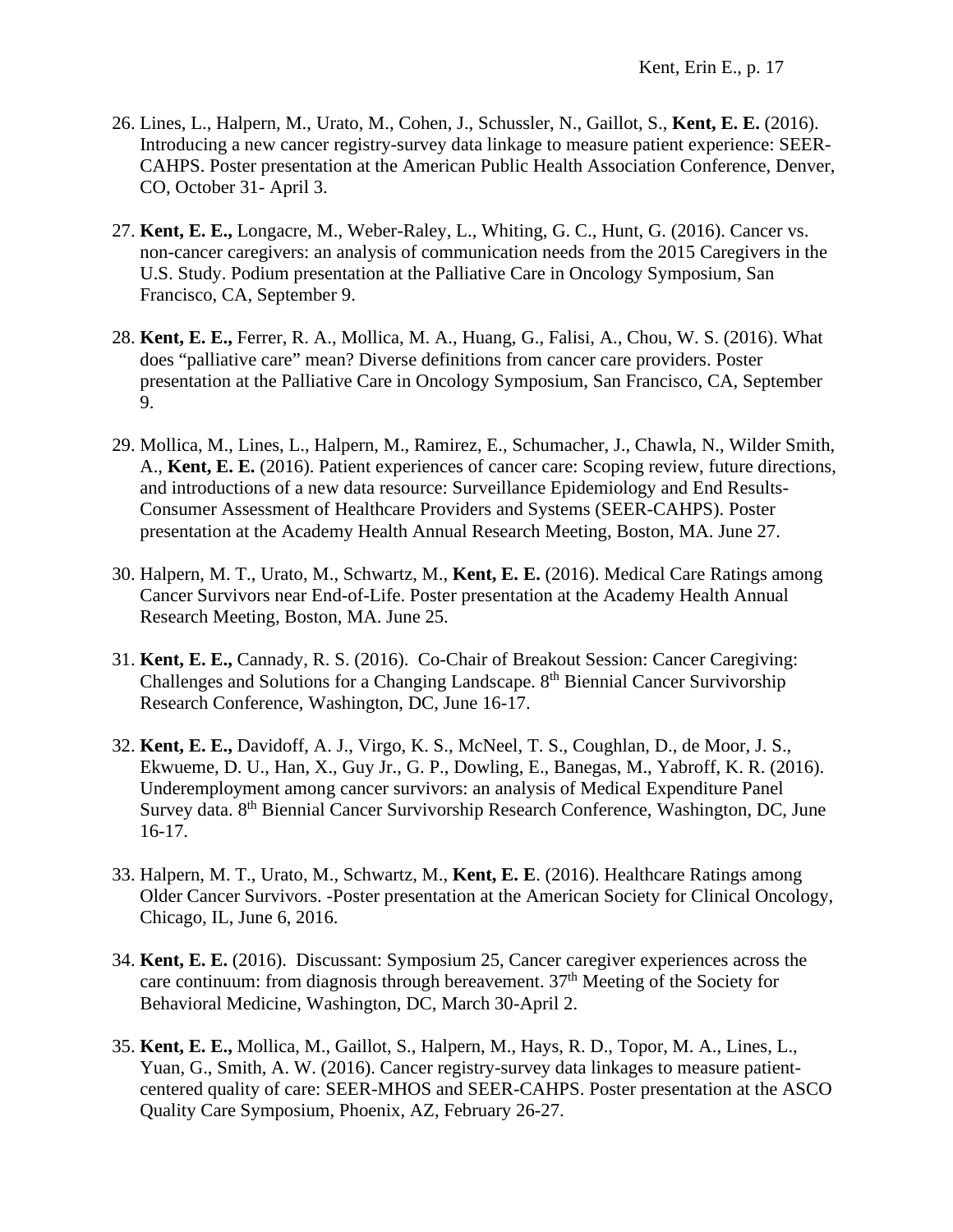- 26. Lines, L., Halpern, M., Urato, M., Cohen, J., Schussler, N., Gaillot, S., **Kent, E. E.** (2016). Introducing a new cancer registry-survey data linkage to measure patient experience: SEER-CAHPS. Poster presentation at the American Public Health Association Conference, Denver, CO, October 31- April 3.
- 27. **Kent, E. E.,** Longacre, M., Weber-Raley, L., Whiting, G. C., Hunt, G. (2016). Cancer vs. non-cancer caregivers: an analysis of communication needs from the 2015 Caregivers in the U.S. Study. Podium presentation at the Palliative Care in Oncology Symposium, San Francisco, CA, September 9.
- 28. **Kent, E. E.,** Ferrer, R. A., Mollica, M. A., Huang, G., Falisi, A., Chou, W. S. (2016). What does "palliative care" mean? Diverse definitions from cancer care providers. Poster presentation at the Palliative Care in Oncology Symposium, San Francisco, CA, September 9.
- 29. Mollica, M., Lines, L., Halpern, M., Ramirez, E., Schumacher, J., Chawla, N., Wilder Smith, A., **Kent, E. E.** (2016). Patient experiences of cancer care: Scoping review, future directions, and introductions of a new data resource: Surveillance Epidemiology and End Results-Consumer Assessment of Healthcare Providers and Systems (SEER-CAHPS). Poster presentation at the Academy Health Annual Research Meeting, Boston, MA. June 27.
- 30. Halpern, M. T., Urato, M., Schwartz, M., **Kent, E. E.** (2016). Medical Care Ratings among Cancer Survivors near End-of-Life. Poster presentation at the Academy Health Annual Research Meeting, Boston, MA. June 25.
- 31. **Kent, E. E.,** Cannady, R. S. (2016). Co-Chair of Breakout Session: Cancer Caregiving: Challenges and Solutions for a Changing Landscape. 8<sup>th</sup> Biennial Cancer Survivorship Research Conference, Washington, DC, June 16-17.
- 32. **Kent, E. E.,** Davidoff, A. J., Virgo, K. S., McNeel, T. S., Coughlan, D., de Moor, J. S., Ekwueme, D. U., Han, X., Guy Jr., G. P., Dowling, E., Banegas, M., Yabroff, K. R. (2016). Underemployment among cancer survivors: an analysis of Medical Expenditure Panel Survey data. 8<sup>th</sup> Biennial Cancer Survivorship Research Conference, Washington, DC, June 16-17.
- 33. Halpern, M. T., Urato, M., Schwartz, M., **Kent, E. E**. (2016). Healthcare Ratings among Older Cancer Survivors. -Poster presentation at the American Society for Clinical Oncology, Chicago, IL, June 6, 2016.
- 34. **Kent, E. E.** (2016). Discussant: Symposium 25, Cancer caregiver experiences across the care continuum: from diagnosis through bereavement.  $37<sup>th</sup>$  Meeting of the Society for Behavioral Medicine, Washington, DC, March 30-April 2.
- 35. **Kent, E. E.,** Mollica, M., Gaillot, S., Halpern, M., Hays, R. D., Topor, M. A., Lines, L., Yuan, G., Smith, A. W. (2016). Cancer registry-survey data linkages to measure patientcentered quality of care: SEER-MHOS and SEER-CAHPS. Poster presentation at the ASCO Quality Care Symposium, Phoenix, AZ, February 26-27.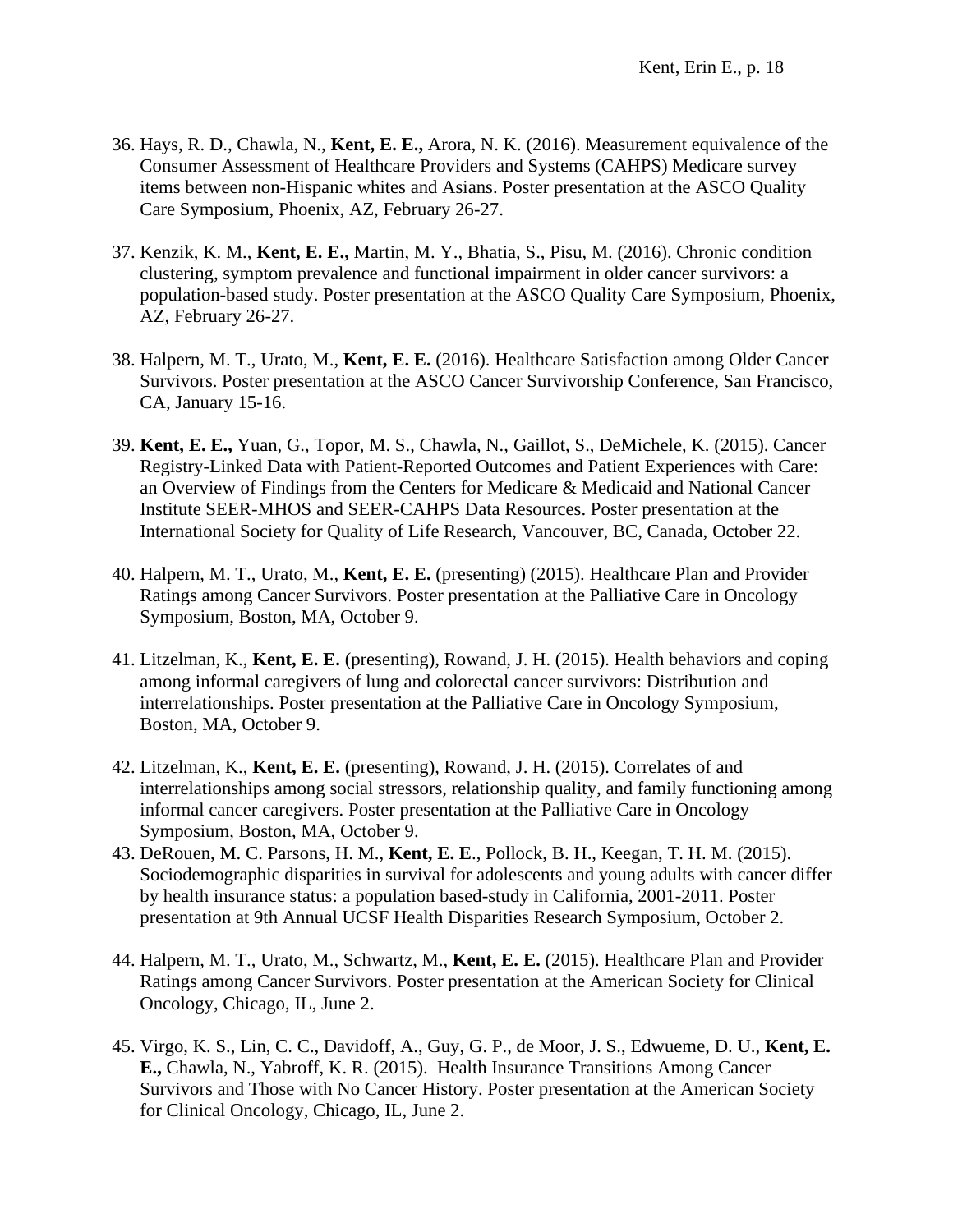- 36. Hays, R. D., Chawla, N., **Kent, E. E.,** Arora, N. K. (2016). Measurement equivalence of the Consumer Assessment of Healthcare Providers and Systems (CAHPS) Medicare survey items between non-Hispanic whites and Asians. Poster presentation at the ASCO Quality Care Symposium, Phoenix, AZ, February 26-27.
- 37. Kenzik, K. M., **Kent, E. E.,** Martin, M. Y., Bhatia, S., Pisu, M. (2016). Chronic condition clustering, symptom prevalence and functional impairment in older cancer survivors: a population-based study. Poster presentation at the ASCO Quality Care Symposium, Phoenix, AZ, February 26-27.
- 38. Halpern, M. T., Urato, M., **Kent, E. E.** (2016). Healthcare Satisfaction among Older Cancer Survivors. Poster presentation at the ASCO Cancer Survivorship Conference, San Francisco, CA, January 15-16.
- 39. **Kent, E. E.,** Yuan, G., Topor, M. S., Chawla, N., Gaillot, S., DeMichele, K. (2015). Cancer Registry-Linked Data with Patient-Reported Outcomes and Patient Experiences with Care: an Overview of Findings from the Centers for Medicare & Medicaid and National Cancer Institute SEER-MHOS and SEER-CAHPS Data Resources. Poster presentation at the International Society for Quality of Life Research, Vancouver, BC, Canada, October 22.
- 40. Halpern, M. T., Urato, M., **Kent, E. E.** (presenting) (2015). Healthcare Plan and Provider Ratings among Cancer Survivors. Poster presentation at the Palliative Care in Oncology Symposium, Boston, MA, October 9.
- 41. Litzelman, K., **Kent, E. E.** (presenting), Rowand, J. H. (2015). Health behaviors and coping among informal caregivers of lung and colorectal cancer survivors: Distribution and interrelationships. Poster presentation at the Palliative Care in Oncology Symposium, Boston, MA, October 9.
- 42. Litzelman, K., **Kent, E. E.** (presenting), Rowand, J. H. (2015). Correlates of and interrelationships among social stressors, relationship quality, and family functioning among informal cancer caregivers. Poster presentation at the Palliative Care in Oncology Symposium, Boston, MA, October 9.
- 43. DeRouen, M. C. Parsons, H. M., **Kent, E. E**., Pollock, B. H., Keegan, T. H. M. (2015). Sociodemographic disparities in survival for adolescents and young adults with cancer differ by health insurance status: a population based-study in California, 2001-2011. Poster presentation at 9th Annual UCSF Health Disparities Research Symposium, October 2.
- 44. Halpern, M. T., Urato, M., Schwartz, M., **Kent, E. E.** (2015). Healthcare Plan and Provider Ratings among Cancer Survivors. Poster presentation at the American Society for Clinical Oncology, Chicago, IL, June 2.
- 45. Virgo, K. S., Lin, C. C., Davidoff, A., Guy, G. P., de Moor, J. S., Edwueme, D. U., **Kent, E. E.,** Chawla, N., Yabroff, K. R. (2015). Health Insurance Transitions Among Cancer Survivors and Those with No Cancer History. Poster presentation at the American Society for Clinical Oncology, Chicago, IL, June 2.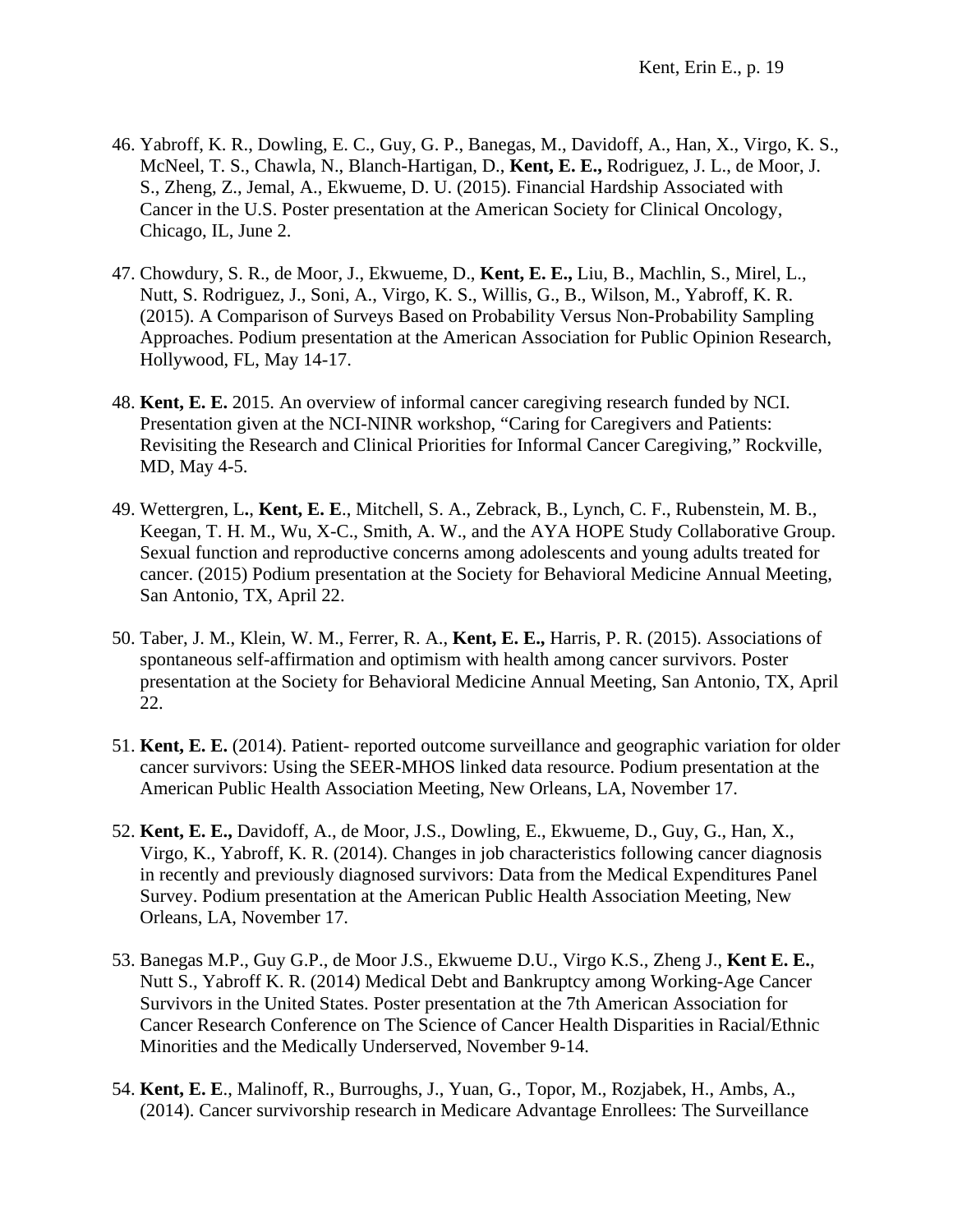- 46. Yabroff, K. R., Dowling, E. C., Guy, G. P., Banegas, M., Davidoff, A., Han, X., Virgo, K. S., McNeel, T. S., Chawla, N., Blanch-Hartigan, D., **Kent, E. E.,** Rodriguez, J. L., de Moor, J. S., Zheng, Z., Jemal, A., Ekwueme, D. U. (2015). Financial Hardship Associated with Cancer in the U.S. Poster presentation at the American Society for Clinical Oncology, Chicago, IL, June 2.
- 47. Chowdury, S. R., de Moor, J., Ekwueme, D., **Kent, E. E.,** Liu, B., Machlin, S., Mirel, L., Nutt, S. Rodriguez, J., Soni, A., Virgo, K. S., Willis, G., B., Wilson, M., Yabroff, K. R. (2015). A Comparison of Surveys Based on Probability Versus Non-Probability Sampling Approaches. Podium presentation at the American Association for Public Opinion Research, Hollywood, FL, May 14-17.
- 48. **Kent, E. E.** 2015. An overview of informal cancer caregiving research funded by NCI. Presentation given at the NCI-NINR workshop, "Caring for Caregivers and Patients: Revisiting the Research and Clinical Priorities for Informal Cancer Caregiving," Rockville, MD, May 4-5.
- 49. Wettergren, L**.**, **Kent, E. E**., Mitchell, S. A., Zebrack, B., Lynch, C. F., Rubenstein, M. B., Keegan, T. H. M., Wu, X-C., Smith, A. W., and the AYA HOPE Study Collaborative Group. Sexual function and reproductive concerns among adolescents and young adults treated for cancer. (2015) Podium presentation at the Society for Behavioral Medicine Annual Meeting, San Antonio, TX, April 22.
- 50. Taber, J. M., Klein, W. M., Ferrer, R. A., **Kent, E. E.,** Harris, P. R. (2015). Associations of spontaneous self-affirmation and optimism with health among cancer survivors. Poster presentation at the Society for Behavioral Medicine Annual Meeting, San Antonio, TX, April 22.
- 51. **Kent, E. E.** (2014). Patient- reported outcome surveillance and geographic variation for older cancer survivors: Using the SEER-MHOS linked data resource. Podium presentation at the American Public Health Association Meeting, New Orleans, LA, November 17.
- 52. **Kent, E. E.,** Davidoff, A., de Moor, J.S., Dowling, E., Ekwueme, D., Guy, G., Han, X., Virgo, K., Yabroff, K. R. (2014). Changes in job characteristics following cancer diagnosis in recently and previously diagnosed survivors: Data from the Medical Expenditures Panel Survey. Podium presentation at the American Public Health Association Meeting, New Orleans, LA, November 17.
- 53. Banegas M.P., Guy G.P., de Moor J.S., Ekwueme D.U., Virgo K.S., Zheng J., **Kent E. E.**, Nutt S., Yabroff K. R. (2014) Medical Debt and Bankruptcy among Working-Age Cancer Survivors in the United States. Poster presentation at the 7th American Association for Cancer Research Conference on The Science of Cancer Health Disparities in Racial/Ethnic Minorities and the Medically Underserved, November 9-14.
- 54. **Kent, E. E**., Malinoff, R., Burroughs, J., Yuan, G., Topor, M., Rozjabek, H., Ambs, A., (2014). Cancer survivorship research in Medicare Advantage Enrollees: The Surveillance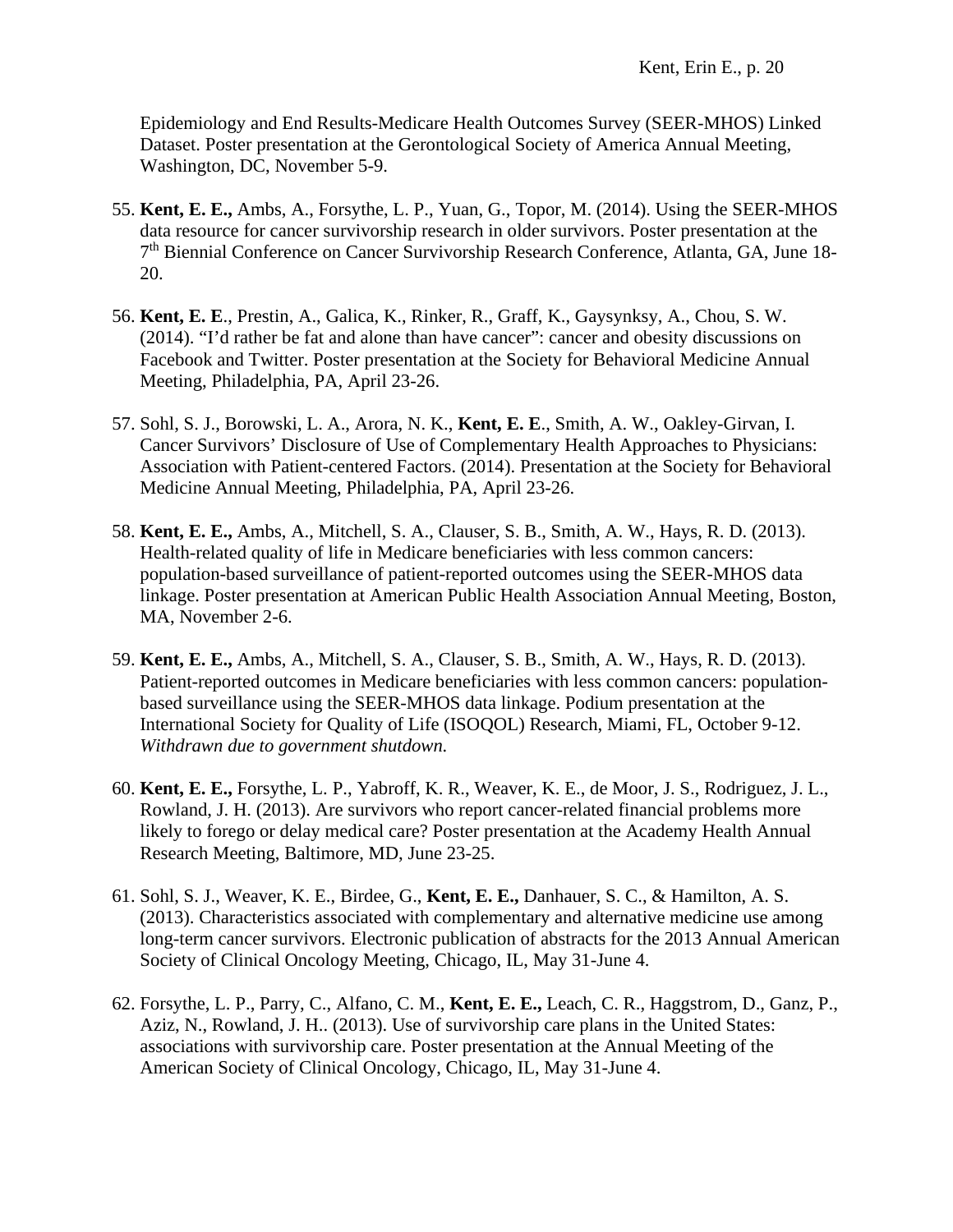Epidemiology and End Results-Medicare Health Outcomes Survey (SEER-MHOS) Linked Dataset. Poster presentation at the Gerontological Society of America Annual Meeting, Washington, DC, November 5-9.

- 55. **Kent, E. E.,** Ambs, A., Forsythe, L. P., Yuan, G., Topor, M. (2014). Using the SEER-MHOS data resource for cancer survivorship research in older survivors. Poster presentation at the 7th Biennial Conference on Cancer Survivorship Research Conference, Atlanta, GA, June 18- 20.
- 56. **Kent, E. E**., Prestin, A., Galica, K., Rinker, R., Graff, K., Gaysynksy, A., Chou, S. W. (2014). "I'd rather be fat and alone than have cancer": cancer and obesity discussions on Facebook and Twitter. Poster presentation at the Society for Behavioral Medicine Annual Meeting, Philadelphia, PA, April 23-26.
- 57. Sohl, S. J., Borowski, L. A., Arora, N. K., **Kent, E. E**., Smith, A. W., Oakley-Girvan, I. Cancer Survivors' Disclosure of Use of Complementary Health Approaches to Physicians: Association with Patient-centered Factors. (2014). Presentation at the Society for Behavioral Medicine Annual Meeting, Philadelphia, PA, April 23-26.
- 58. **Kent, E. E.,** Ambs, A., Mitchell, S. A., Clauser, S. B., Smith, A. W., Hays, R. D. (2013). Health-related quality of life in Medicare beneficiaries with less common cancers: population-based surveillance of patient-reported outcomes using the SEER-MHOS data linkage. Poster presentation at American Public Health Association Annual Meeting, Boston, MA, November 2-6.
- 59. **Kent, E. E.,** Ambs, A., Mitchell, S. A., Clauser, S. B., Smith, A. W., Hays, R. D. (2013). Patient-reported outcomes in Medicare beneficiaries with less common cancers: populationbased surveillance using the SEER-MHOS data linkage. Podium presentation at the International Society for Quality of Life (ISOQOL) Research, Miami, FL, October 9-12. *Withdrawn due to government shutdown.*
- 60. **Kent, E. E.,** Forsythe, L. P., Yabroff, K. R., Weaver, K. E., de Moor, J. S., Rodriguez, J. L., Rowland, J. H. (2013). Are survivors who report cancer-related financial problems more likely to forego or delay medical care? Poster presentation at the Academy Health Annual Research Meeting, Baltimore, MD, June 23-25.
- 61. Sohl, S. J., Weaver, K. E., Birdee, G., **Kent, E. E.,** Danhauer, S. C., & Hamilton, A. S. (2013). Characteristics associated with complementary and alternative medicine use among long-term cancer survivors. Electronic publication of abstracts for the 2013 Annual American Society of Clinical Oncology Meeting, Chicago, IL, May 31-June 4.
- 62. Forsythe, L. P., Parry, C., Alfano, C. M., **Kent, E. E.,** Leach, C. R., Haggstrom, D., Ganz, P., Aziz, N., Rowland, J. H.. (2013). Use of survivorship care plans in the United States: associations with survivorship care. Poster presentation at the Annual Meeting of the American Society of Clinical Oncology, Chicago, IL, May 31-June 4.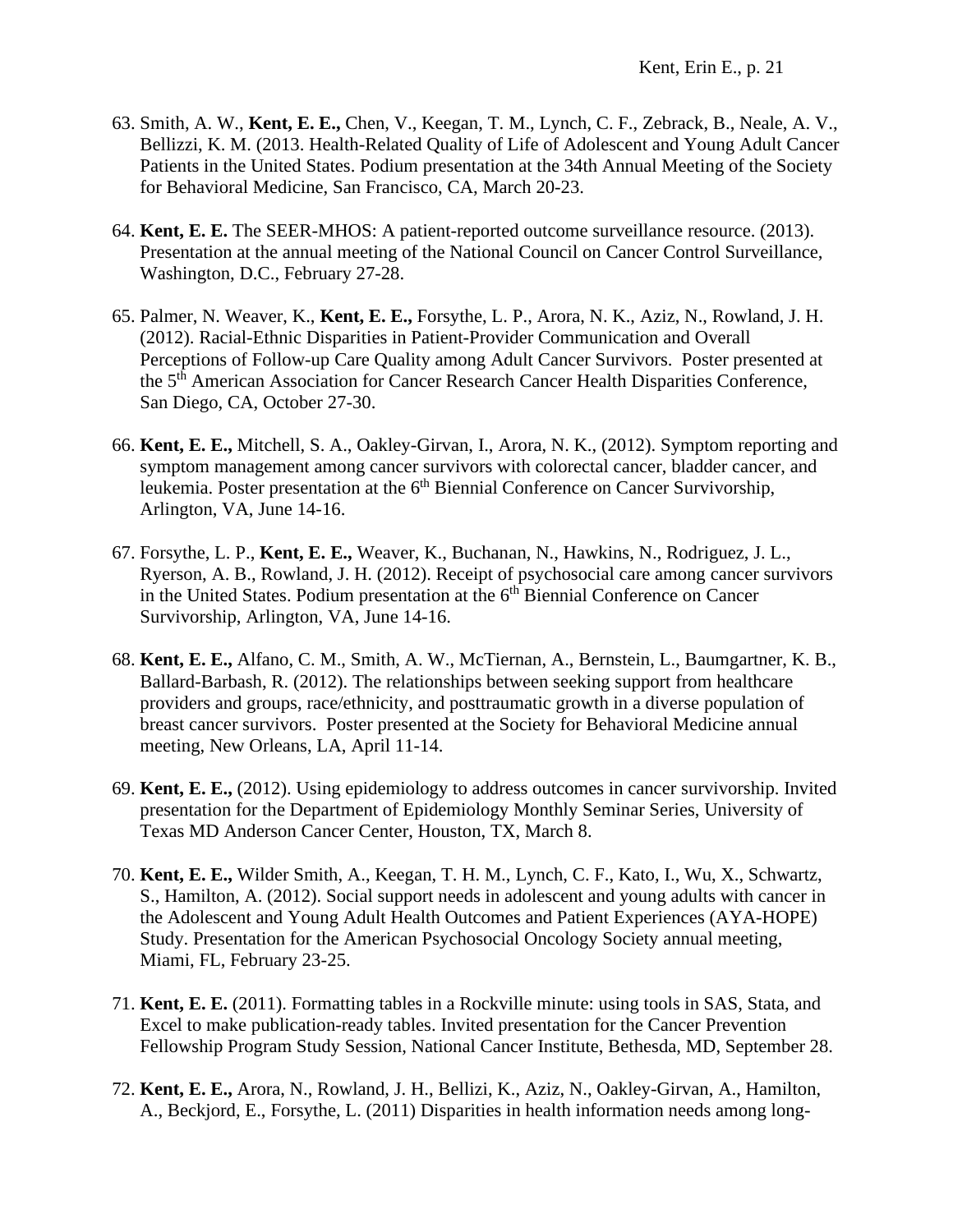- 63. Smith, A. W., **Kent, E. E.,** Chen, V., Keegan, T. M., Lynch, C. F., Zebrack, B., Neale, A. V., Bellizzi, K. M. (2013. Health-Related Quality of Life of Adolescent and Young Adult Cancer Patients in the United States. Podium presentation at the 34th Annual Meeting of the Society for Behavioral Medicine, San Francisco, CA, March 20-23.
- 64. **Kent, E. E.** The SEER-MHOS: A patient-reported outcome surveillance resource. (2013). Presentation at the annual meeting of the National Council on Cancer Control Surveillance, Washington, D.C., February 27-28.
- 65. Palmer, N. Weaver, K., **Kent, E. E.,** Forsythe, L. P., Arora, N. K., Aziz, N., Rowland, J. H. (2012). Racial-Ethnic Disparities in Patient-Provider Communication and Overall Perceptions of Follow-up Care Quality among Adult Cancer Survivors. Poster presented at the 5<sup>th</sup> American Association for Cancer Research Cancer Health Disparities Conference, San Diego, CA, October 27-30.
- 66. **Kent, E. E.,** Mitchell, S. A., Oakley-Girvan, I., Arora, N. K., (2012). Symptom reporting and symptom management among cancer survivors with colorectal cancer, bladder cancer, and leukemia. Poster presentation at the  $6<sup>th</sup>$  Biennial Conference on Cancer Survivorship, Arlington, VA, June 14-16.
- 67. Forsythe, L. P., **Kent, E. E.,** Weaver, K., Buchanan, N., Hawkins, N., Rodriguez, J. L., Ryerson, A. B., Rowland, J. H. (2012). Receipt of psychosocial care among cancer survivors in the United States. Podium presentation at the  $6<sup>th</sup>$  Biennial Conference on Cancer Survivorship, Arlington, VA, June 14-16.
- 68. **Kent, E. E.,** Alfano, C. M., Smith, A. W., McTiernan, A., Bernstein, L., Baumgartner, K. B., Ballard-Barbash, R. (2012). The relationships between seeking support from healthcare providers and groups, race/ethnicity, and posttraumatic growth in a diverse population of breast cancer survivors. Poster presented at the Society for Behavioral Medicine annual meeting, New Orleans, LA, April 11-14.
- 69. **Kent, E. E.,** (2012). Using epidemiology to address outcomes in cancer survivorship. Invited presentation for the Department of Epidemiology Monthly Seminar Series, University of Texas MD Anderson Cancer Center, Houston, TX, March 8.
- 70. **Kent, E. E.,** Wilder Smith, A., Keegan, T. H. M., Lynch, C. F., Kato, I., Wu, X., Schwartz, S., Hamilton, A. (2012). Social support needs in adolescent and young adults with cancer in the Adolescent and Young Adult Health Outcomes and Patient Experiences (AYA-HOPE) Study. Presentation for the American Psychosocial Oncology Society annual meeting, Miami, FL, February 23-25.
- 71. **Kent, E. E.** (2011). Formatting tables in a Rockville minute: using tools in SAS, Stata, and Excel to make publication-ready tables. Invited presentation for the Cancer Prevention Fellowship Program Study Session, National Cancer Institute, Bethesda, MD, September 28.
- 72. **Kent, E. E.,** Arora, N., Rowland, J. H., Bellizi, K., Aziz, N., Oakley-Girvan, A., Hamilton, A., Beckjord, E., Forsythe, L. (2011) Disparities in health information needs among long-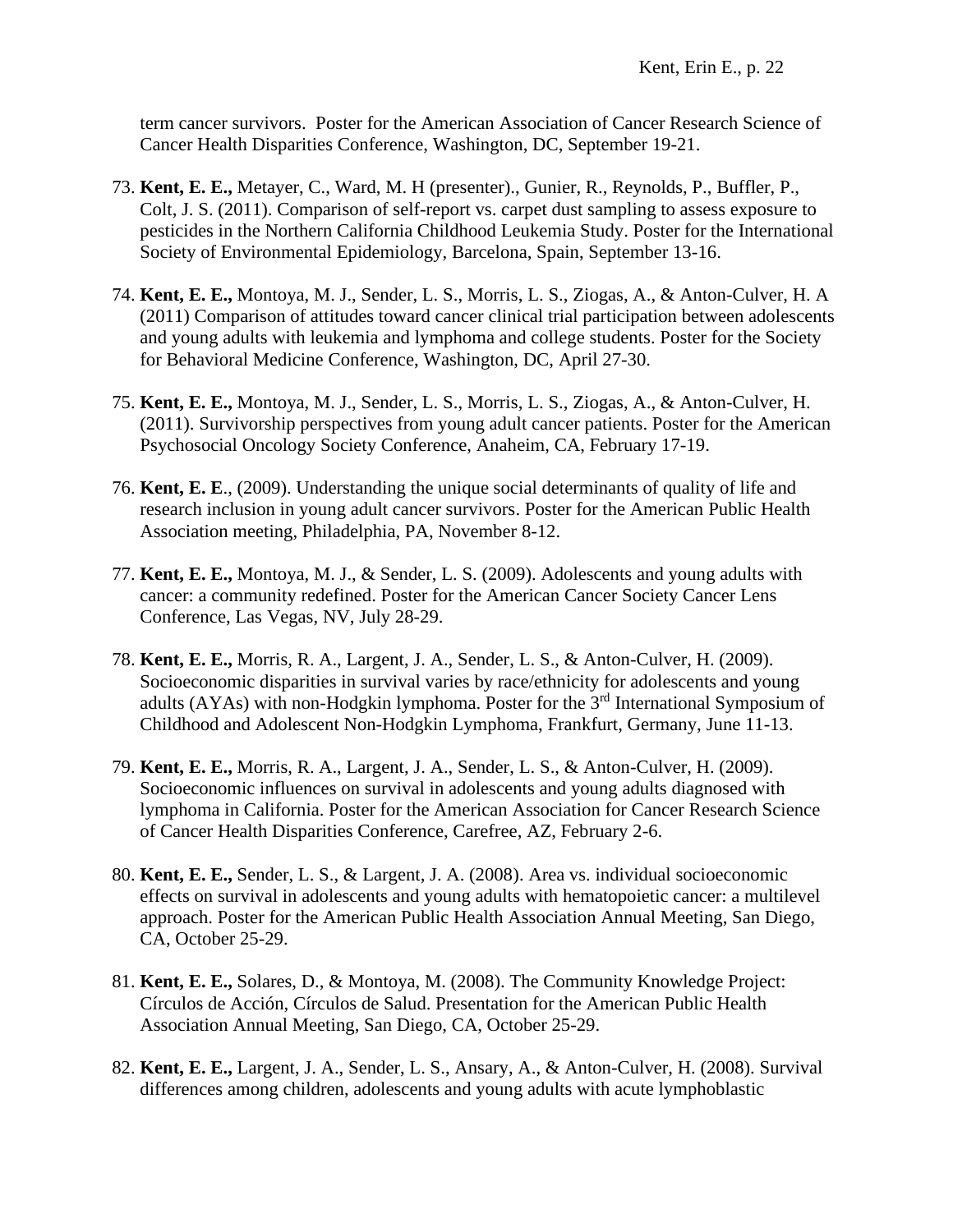term cancer survivors. Poster for the American Association of Cancer Research Science of Cancer Health Disparities Conference, Washington, DC, September 19-21.

- 73. **Kent, E. E.,** Metayer, C., Ward, M. H (presenter)., Gunier, R., Reynolds, P., Buffler, P., Colt, J. S. (2011). Comparison of self-report vs. carpet dust sampling to assess exposure to pesticides in the Northern California Childhood Leukemia Study. Poster for the International Society of Environmental Epidemiology, Barcelona, Spain, September 13-16.
- 74. **Kent, E. E.,** Montoya, M. J., Sender, L. S., Morris, L. S., Ziogas, A., & Anton-Culver, H. A (2011) Comparison of attitudes toward cancer clinical trial participation between adolescents and young adults with leukemia and lymphoma and college students. Poster for the Society for Behavioral Medicine Conference, Washington, DC, April 27-30.
- 75. **Kent, E. E.,** Montoya, M. J., Sender, L. S., Morris, L. S., Ziogas, A., & Anton-Culver, H. (2011). Survivorship perspectives from young adult cancer patients. Poster for the American Psychosocial Oncology Society Conference, Anaheim, CA, February 17-19.
- 76. **Kent, E. E**., (2009). Understanding the unique social determinants of quality of life and research inclusion in young adult cancer survivors. Poster for the American Public Health Association meeting, Philadelphia, PA, November 8-12.
- 77. **Kent, E. E.,** Montoya, M. J., & Sender, L. S. (2009). Adolescents and young adults with cancer: a community redefined. Poster for the American Cancer Society Cancer Lens Conference, Las Vegas, NV, July 28-29.
- 78. **Kent, E. E.,** Morris, R. A., Largent, J. A., Sender, L. S., & Anton-Culver, H. (2009). Socioeconomic disparities in survival varies by race/ethnicity for adolescents and young adults (AYAs) with non-Hodgkin lymphoma. Poster for the 3<sup>rd</sup> International Symposium of Childhood and Adolescent Non-Hodgkin Lymphoma, Frankfurt, Germany, June 11-13.
- 79. **Kent, E. E.,** Morris, R. A., Largent, J. A., Sender, L. S., & Anton-Culver, H. (2009). Socioeconomic influences on survival in adolescents and young adults diagnosed with lymphoma in California. Poster for the American Association for Cancer Research Science of Cancer Health Disparities Conference, Carefree, AZ, February 2-6.
- 80. **Kent, E. E.,** Sender, L. S., & Largent, J. A. (2008). Area vs. individual socioeconomic effects on survival in adolescents and young adults with hematopoietic cancer: a multilevel approach. Poster for the American Public Health Association Annual Meeting, San Diego, CA, October 25-29.
- 81. **Kent, E. E.,** Solares, D., & Montoya, M. (2008). The Community Knowledge Project: Círculos de Acción, Círculos de Salud. Presentation for the American Public Health Association Annual Meeting, San Diego, CA, October 25-29.
- 82. **Kent, E. E.,** Largent, J. A., Sender, L. S., Ansary, A., & Anton-Culver, H. (2008). Survival differences among children, adolescents and young adults with acute lymphoblastic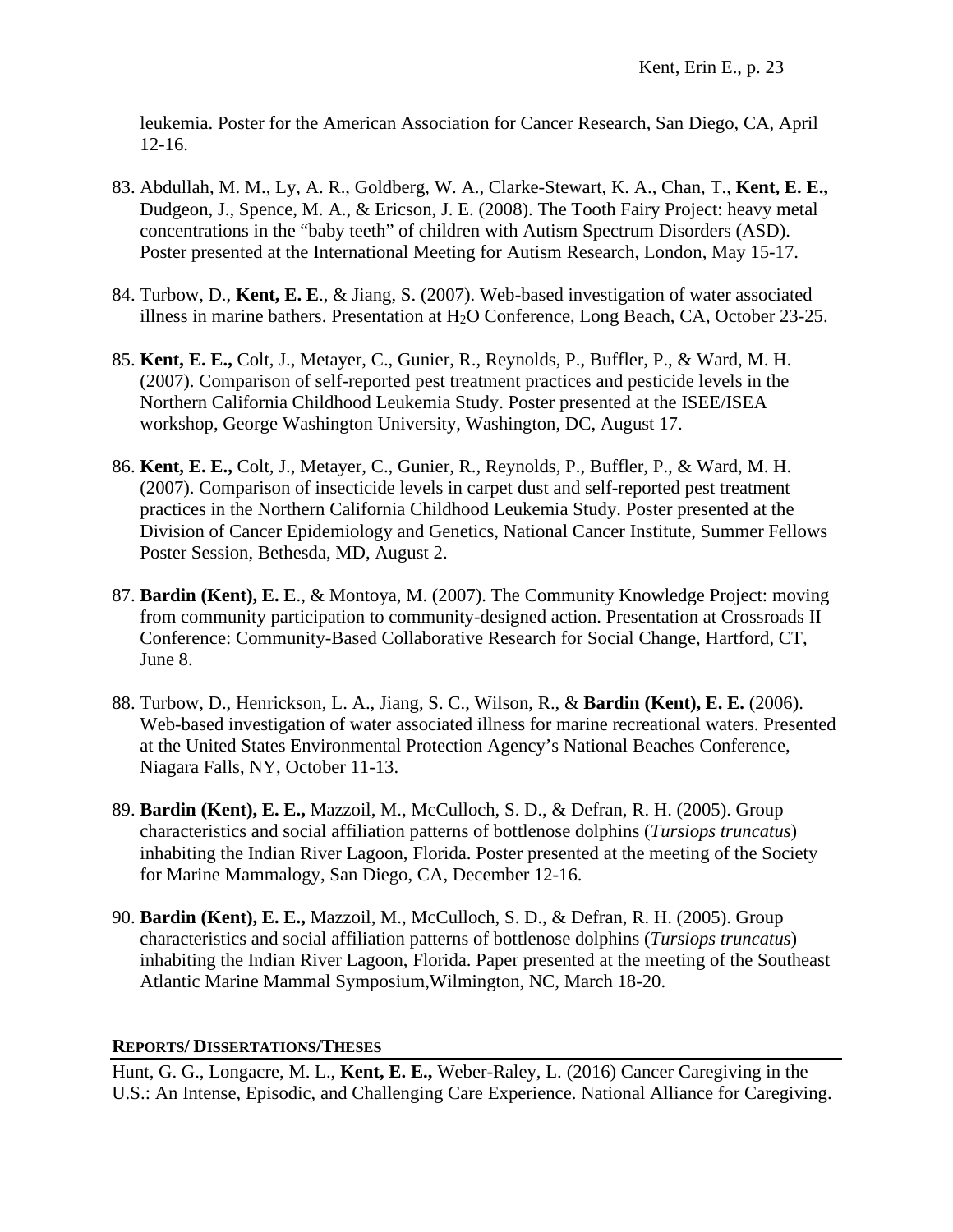leukemia. Poster for the American Association for Cancer Research, San Diego, CA, April 12-16.

- 83. Abdullah, M. M., Ly, A. R., Goldberg, W. A., Clarke-Stewart, K. A., Chan, T., **Kent, E. E.,** Dudgeon, J., Spence, M. A., & Ericson, J. E. (2008). The Tooth Fairy Project: heavy metal concentrations in the "baby teeth" of children with Autism Spectrum Disorders (ASD). Poster presented at the International Meeting for Autism Research, London, May 15-17.
- 84. Turbow, D., **Kent, E. E**., & Jiang, S. (2007). Web-based investigation of water associated illness in marine bathers. Presentation at  $H<sub>2</sub>O$  Conference, Long Beach, CA, October 23-25.
- 85. **Kent, E. E.,** Colt, J., Metayer, C., Gunier, R., Reynolds, P., Buffler, P., & Ward, M. H. (2007). Comparison of self-reported pest treatment practices and pesticide levels in the Northern California Childhood Leukemia Study. Poster presented at the ISEE/ISEA workshop, George Washington University, Washington, DC, August 17.
- 86. **Kent, E. E.,** Colt, J., Metayer, C., Gunier, R., Reynolds, P., Buffler, P., & Ward, M. H. (2007). Comparison of insecticide levels in carpet dust and self-reported pest treatment practices in the Northern California Childhood Leukemia Study. Poster presented at the Division of Cancer Epidemiology and Genetics, National Cancer Institute, Summer Fellows Poster Session, Bethesda, MD, August 2.
- 87. **Bardin (Kent), E. E**., & Montoya, M. (2007). The Community Knowledge Project: moving from community participation to community-designed action. Presentation at Crossroads II Conference: Community-Based Collaborative Research for Social Change, Hartford, CT, June 8.
- 88. Turbow, D., Henrickson, L. A., Jiang, S. C., Wilson, R., & **Bardin (Kent), E. E.** (2006). Web-based investigation of water associated illness for marine recreational waters. Presented at the United States Environmental Protection Agency's National Beaches Conference, Niagara Falls, NY, October 11-13.
- 89. **Bardin (Kent), E. E.,** Mazzoil, M., McCulloch, S. D., & Defran, R. H. (2005). Group characteristics and social affiliation patterns of bottlenose dolphins (*Tursiops truncatus*) inhabiting the Indian River Lagoon, Florida. Poster presented at the meeting of the Society for Marine Mammalogy, San Diego, CA, December 12-16.
- 90. **Bardin (Kent), E. E.,** Mazzoil, M., McCulloch, S. D., & Defran, R. H. (2005). Group characteristics and social affiliation patterns of bottlenose dolphins (*Tursiops truncatus*) inhabiting the Indian River Lagoon, Florida. Paper presented at the meeting of the Southeast Atlantic Marine Mammal Symposium,Wilmington, NC, March 18-20.

# **REPORTS/ DISSERTATIONS/THESES**

Hunt, G. G., Longacre, M. L., **Kent, E. E.,** Weber-Raley, L. (2016) Cancer Caregiving in the U.S.: An Intense, Episodic, and Challenging Care Experience. National Alliance for Caregiving.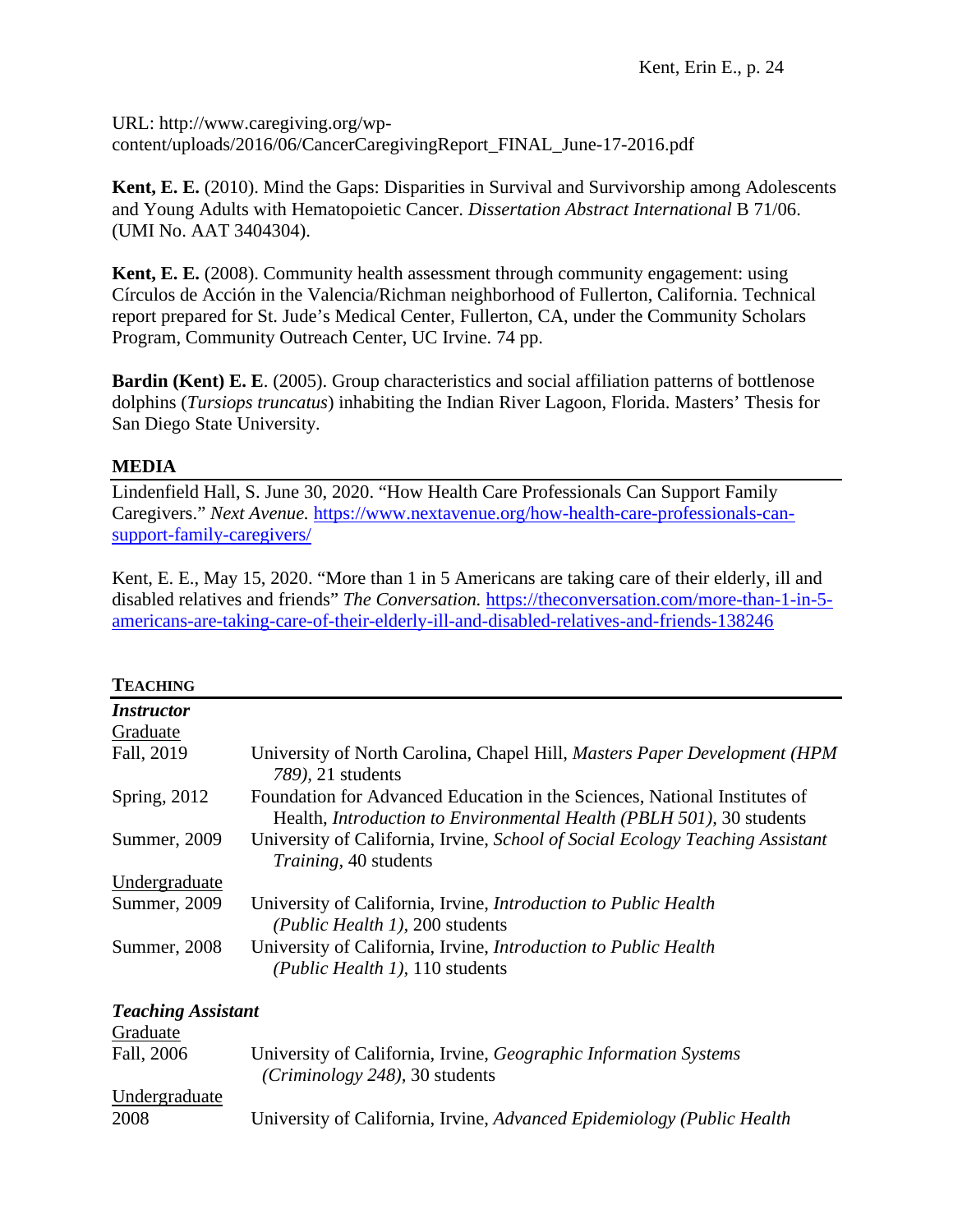URL: http://www.caregiving.org/wpcontent/uploads/2016/06/CancerCaregivingReport\_FINAL\_June-17-2016.pdf

**Kent, E. E.** (2010). Mind the Gaps: Disparities in Survival and Survivorship among Adolescents and Young Adults with Hematopoietic Cancer. *Dissertation Abstract International* B 71/06. (UMI No. AAT 3404304).

**Kent, E. E.** (2008). Community health assessment through community engagement: using Círculos de Acción in the Valencia/Richman neighborhood of Fullerton, California. Technical report prepared for St. Jude's Medical Center, Fullerton, CA, under the Community Scholars Program, Community Outreach Center, UC Irvine. 74 pp.

**Bardin (Kent) E. E.** (2005). Group characteristics and social affiliation patterns of bottlenose dolphins (*Tursiops truncatus*) inhabiting the Indian River Lagoon, Florida. Masters' Thesis for San Diego State University*.*

# **MEDIA**

Lindenfield Hall, S. June 30, 2020. "How Health Care Professionals Can Support Family Caregivers." *Next Avenue.* [https://www.nextavenue.org/how-health-care-professionals-can](https://www.nextavenue.org/how-health-care-professionals-can-support-family-caregivers/)[support-family-caregivers/](https://www.nextavenue.org/how-health-care-professionals-can-support-family-caregivers/)

Kent, E. E., May 15, 2020. "More than 1 in 5 Americans are taking care of their elderly, ill and disabled relatives and friends" *The Conversation.* [https://theconversation.com/more-than-1-in-5](https://theconversation.com/more-than-1-in-5-americans-are-taking-care-of-their-elderly-ill-and-disabled-relatives-and-friends-138246) [americans-are-taking-care-of-their-elderly-ill-and-disabled-relatives-and-friends-138246](https://theconversation.com/more-than-1-in-5-americans-are-taking-care-of-their-elderly-ill-and-disabled-relatives-and-friends-138246)

## **TEACHING**

| 1 22 N 22 23 34          |                                                                                                                                                          |
|--------------------------|----------------------------------------------------------------------------------------------------------------------------------------------------------|
| <i><b>Instructor</b></i> |                                                                                                                                                          |
| Graduate                 |                                                                                                                                                          |
| Fall, 2019               | University of North Carolina, Chapel Hill, Masters Paper Development (HPM<br>789), 21 students                                                           |
| Spring, 2012             | Foundation for Advanced Education in the Sciences, National Institutes of<br>Health, <i>Introduction to Environmental Health</i> (PBLH 501), 30 students |
| Summer, 2009             | University of California, Irvine, School of Social Ecology Teaching Assistant<br><i>Training</i> , 40 students                                           |
| Undergraduate            |                                                                                                                                                          |
| Summer, 2009             | University of California, Irvine, <i>Introduction to Public Health</i><br>(Public Health 1), 200 students                                                |
| Summer, 2008             | University of California, Irvine, <i>Introduction to Public Health</i><br>(Public Health 1), 110 students                                                |
|                          |                                                                                                                                                          |

*Teaching Assistant*  Graduate Fall, 2006 University of California, Irvine, *Geographic Information Systems (Criminology 248),* 30 students Undergraduate 2008 University of California, Irvine, *Advanced Epidemiology (Public Health*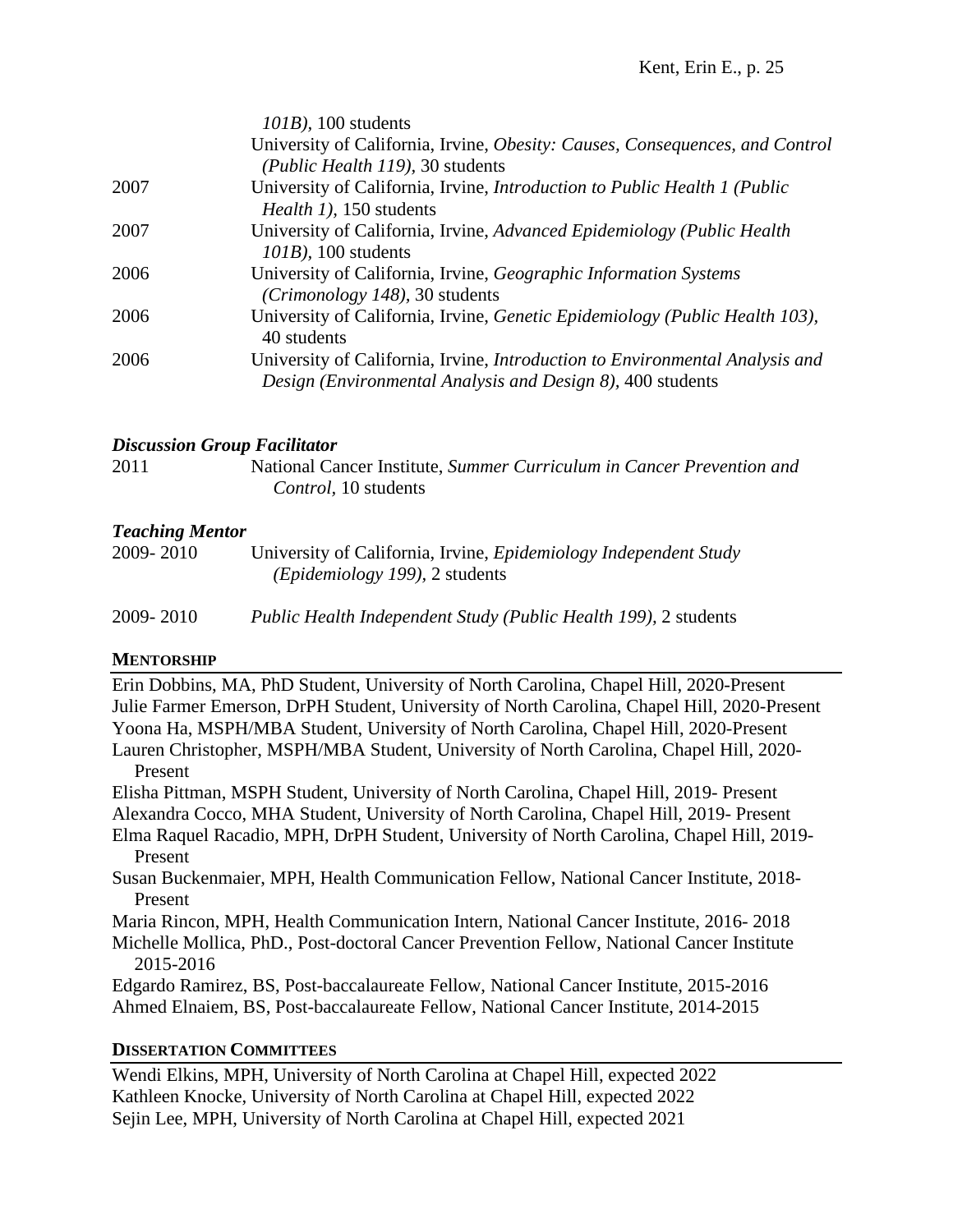|      | $101B$ , 100 students                                                                                                                             |
|------|---------------------------------------------------------------------------------------------------------------------------------------------------|
|      | University of California, Irvine, Obesity: Causes, Consequences, and Control                                                                      |
|      | (Public Health 119), 30 students                                                                                                                  |
| 2007 | University of California, Irvine, Introduction to Public Health 1 (Public<br>Health 1), 150 students                                              |
| 2007 | University of California, Irvine, Advanced Epidemiology (Public Health<br>$101B$ ), 100 students                                                  |
| 2006 | University of California, Irvine, Geographic Information Systems<br>(Crimonology 148), 30 students                                                |
| 2006 | University of California, Irvine, Genetic Epidemiology (Public Health 103),<br>40 students                                                        |
| 2006 | University of California, Irvine, <i>Introduction to Environmental Analysis and</i><br>Design (Environmental Analysis and Design 8), 400 students |
|      |                                                                                                                                                   |

## *Discussion Group Facilitator*

2011 National Cancer Institute, *Summer Curriculum in Cancer Prevention and Control,* 10 students

# *Teaching Mentor*

| 2009-2010 | University of California, Irvine, <i>Epidemiology Independent Study</i> |
|-----------|-------------------------------------------------------------------------|
|           | <i>(Epidemiology 199)</i> , 2 students                                  |
|           |                                                                         |

2009- 2010 *Public Health Independent Study (Public Health 199),* 2 students

# **MENTORSHIP**

Erin Dobbins, MA, PhD Student, University of North Carolina, Chapel Hill, 2020-Present Julie Farmer Emerson, DrPH Student, University of North Carolina, Chapel Hill, 2020-Present Yoona Ha, MSPH/MBA Student, University of North Carolina, Chapel Hill, 2020-Present Lauren Christopher, MSPH/MBA Student, University of North Carolina, Chapel Hill, 2020- Present Elisha Pittman, MSPH Student, University of North Carolina, Chapel Hill, 2019- Present Alexandra Cocco, MHA Student, University of North Carolina, Chapel Hill, 2019- Present

Elma Raquel Racadio, MPH, DrPH Student, University of North Carolina, Chapel Hill, 2019- Present

Susan Buckenmaier, MPH, Health Communication Fellow, National Cancer Institute, 2018- Present

Maria Rincon, MPH, Health Communication Intern, National Cancer Institute, 2016- 2018

Michelle Mollica, PhD., Post-doctoral Cancer Prevention Fellow, National Cancer Institute 2015-2016

Edgardo Ramirez, BS, Post-baccalaureate Fellow, National Cancer Institute, 2015-2016 Ahmed Elnaiem, BS, Post-baccalaureate Fellow, National Cancer Institute, 2014-2015

# **DISSERTATION COMMITTEES**

Wendi Elkins, MPH, University of North Carolina at Chapel Hill, expected 2022 Kathleen Knocke, University of North Carolina at Chapel Hill, expected 2022 Sejin Lee, MPH, University of North Carolina at Chapel Hill, expected 2021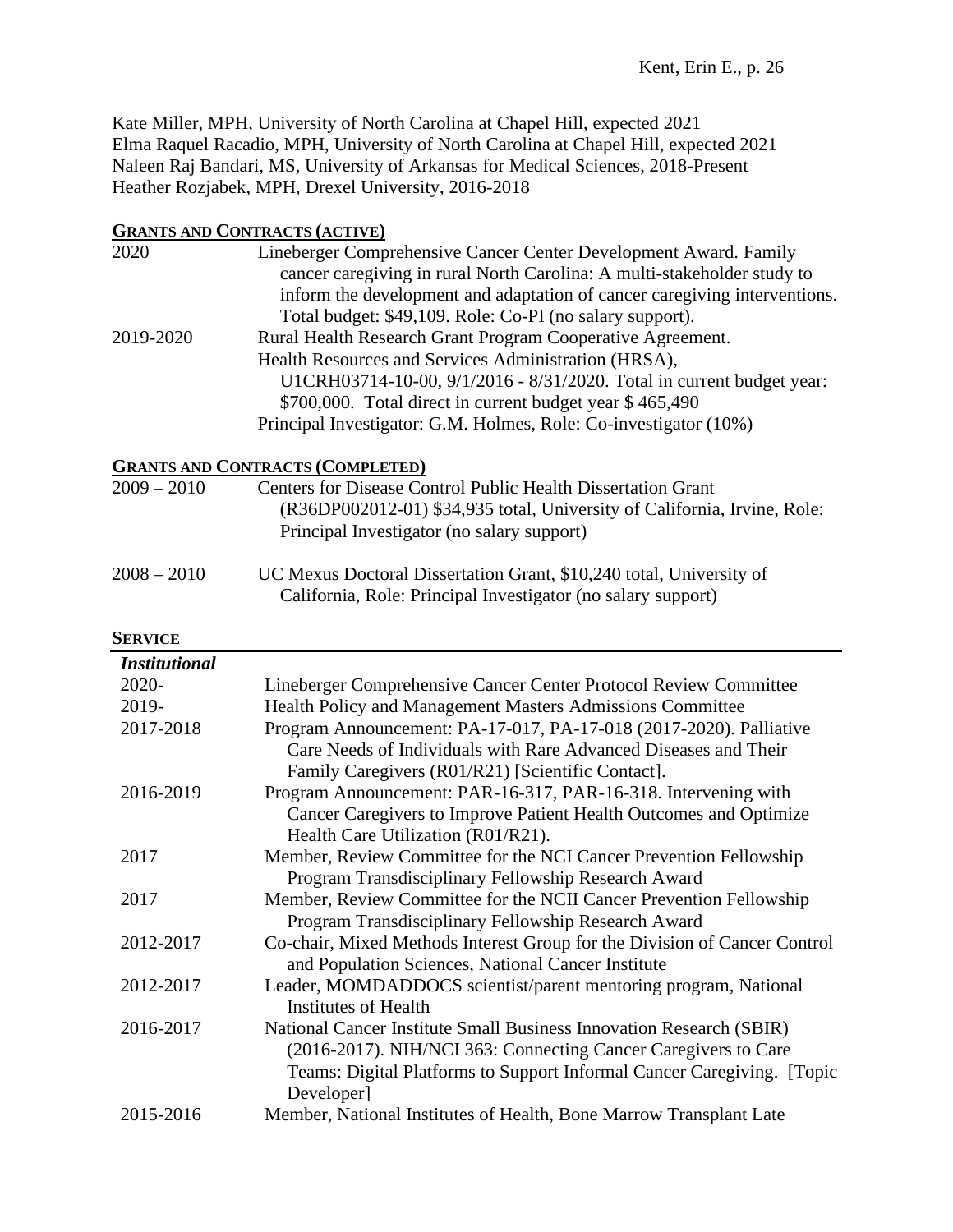Kate Miller, MPH, University of North Carolina at Chapel Hill, expected 2021 Elma Raquel Racadio, MPH, University of North Carolina at Chapel Hill, expected 2021 Naleen Raj Bandari, MS, University of Arkansas for Medical Sciences, 2018-Present Heather Rozjabek, MPH, Drexel University, 2016-2018

## **GRANTS AND CONTRACTS (ACTIVE)**

| 2020      | Lineberger Comprehensive Cancer Center Development Award. Family          |
|-----------|---------------------------------------------------------------------------|
|           | cancer caregiving in rural North Carolina: A multi-stakeholder study to   |
|           | inform the development and adaptation of cancer caregiving interventions. |
|           | Total budget: \$49,109. Role: Co-PI (no salary support).                  |
| 2019-2020 | Rural Health Research Grant Program Cooperative Agreement.                |
|           | Health Resources and Services Administration (HRSA),                      |
|           | U1CRH03714-10-00, 9/1/2016 - 8/31/2020. Total in current budget year:     |
|           | \$700,000. Total direct in current budget year \$465,490                  |
|           | Principal Investigator: G.M. Holmes, Role: Co-investigator (10%)          |

# **GRANTS AND CONTRACTS (COMPLETED)**

| $2009 - 2010$ | <b>Centers for Disease Control Public Health Dissertation Grant</b><br>(R36DP002012-01) \$34,935 total, University of California, Irvine, Role:<br>Principal Investigator (no salary support) |
|---------------|-----------------------------------------------------------------------------------------------------------------------------------------------------------------------------------------------|
| $2008 - 2010$ | UC Mexus Doctoral Dissertation Grant, \$10,240 total, University of<br>California, Role: Principal Investigator (no salary support)                                                           |

## **SERVICE**

| <b>Institutional</b> |                                                                                                                                                                                                                                |
|----------------------|--------------------------------------------------------------------------------------------------------------------------------------------------------------------------------------------------------------------------------|
| $2020 -$             | Lineberger Comprehensive Cancer Center Protocol Review Committee                                                                                                                                                               |
| 2019-                | Health Policy and Management Masters Admissions Committee                                                                                                                                                                      |
| 2017-2018            | Program Announcement: PA-17-017, PA-17-018 (2017-2020). Palliative<br>Care Needs of Individuals with Rare Advanced Diseases and Their<br>Family Caregivers (R01/R21) [Scientific Contact].                                     |
| 2016-2019            | Program Announcement: PAR-16-317, PAR-16-318. Intervening with                                                                                                                                                                 |
|                      | Cancer Caregivers to Improve Patient Health Outcomes and Optimize<br>Health Care Utilization (R01/R21).                                                                                                                        |
| 2017                 | Member, Review Committee for the NCI Cancer Prevention Fellowship                                                                                                                                                              |
|                      | Program Transdisciplinary Fellowship Research Award                                                                                                                                                                            |
| 2017                 | Member, Review Committee for the NCII Cancer Prevention Fellowship                                                                                                                                                             |
|                      | Program Transdisciplinary Fellowship Research Award                                                                                                                                                                            |
| 2012-2017            | Co-chair, Mixed Methods Interest Group for the Division of Cancer Control<br>and Population Sciences, National Cancer Institute                                                                                                |
| 2012-2017            | Leader, MOMDADDOCS scientist/parent mentoring program, National<br><b>Institutes of Health</b>                                                                                                                                 |
| 2016-2017            | National Cancer Institute Small Business Innovation Research (SBIR)<br>(2016-2017). NIH/NCI 363: Connecting Cancer Caregivers to Care<br>Teams: Digital Platforms to Support Informal Cancer Caregiving. [Topic]<br>Developer] |
| 2015-2016            | Member, National Institutes of Health, Bone Marrow Transplant Late                                                                                                                                                             |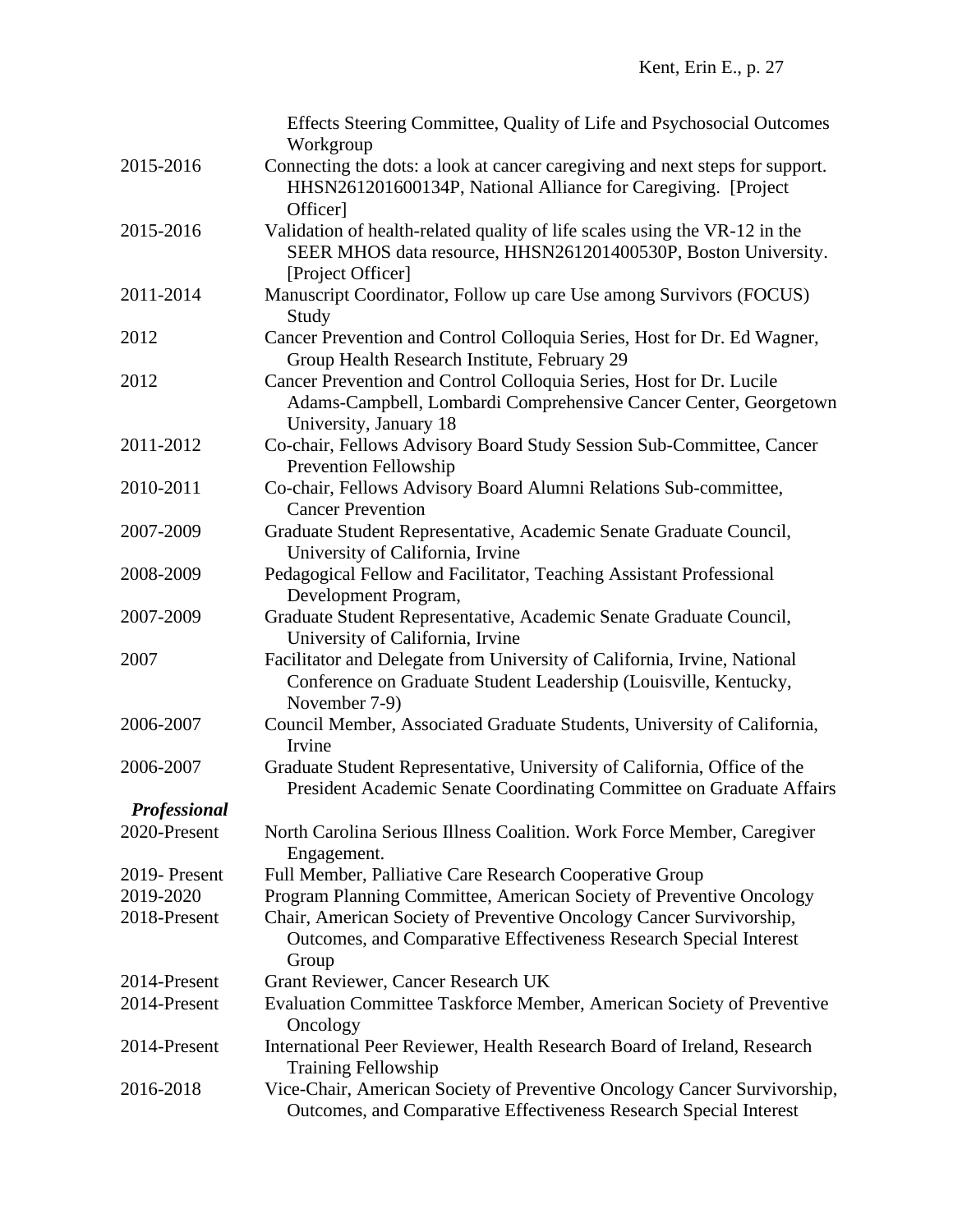|                     | Effects Steering Committee, Quality of Life and Psychosocial Outcomes<br>Workgroup |
|---------------------|------------------------------------------------------------------------------------|
| 2015-2016           | Connecting the dots: a look at cancer caregiving and next steps for support.       |
|                     | HHSN261201600134P, National Alliance for Caregiving. [Project                      |
|                     | Officer]                                                                           |
| 2015-2016           | Validation of health-related quality of life scales using the VR-12 in the         |
|                     | SEER MHOS data resource, HHSN261201400530P, Boston University.                     |
|                     | [Project Officer]                                                                  |
| 2011-2014           | Manuscript Coordinator, Follow up care Use among Survivors (FOCUS)                 |
|                     | Study                                                                              |
| 2012                | Cancer Prevention and Control Colloquia Series, Host for Dr. Ed Wagner,            |
|                     | Group Health Research Institute, February 29                                       |
| 2012                | Cancer Prevention and Control Colloquia Series, Host for Dr. Lucile                |
|                     | Adams-Campbell, Lombardi Comprehensive Cancer Center, Georgetown                   |
|                     | University, January 18                                                             |
| 2011-2012           | Co-chair, Fellows Advisory Board Study Session Sub-Committee, Cancer               |
|                     | <b>Prevention Fellowship</b>                                                       |
| 2010-2011           | Co-chair, Fellows Advisory Board Alumni Relations Sub-committee,                   |
|                     | <b>Cancer Prevention</b>                                                           |
| 2007-2009           | Graduate Student Representative, Academic Senate Graduate Council,                 |
|                     | University of California, Irvine                                                   |
| 2008-2009           | Pedagogical Fellow and Facilitator, Teaching Assistant Professional                |
|                     | Development Program,                                                               |
| 2007-2009           | Graduate Student Representative, Academic Senate Graduate Council,                 |
|                     | University of California, Irvine                                                   |
| 2007                | Facilitator and Delegate from University of California, Irvine, National           |
|                     | Conference on Graduate Student Leadership (Louisville, Kentucky,                   |
|                     | November 7-9)                                                                      |
| 2006-2007           | Council Member, Associated Graduate Students, University of California,            |
|                     | Irvine                                                                             |
| 2006-2007           | Graduate Student Representative, University of California, Office of the           |
|                     | President Academic Senate Coordinating Committee on Graduate Affairs               |
| <b>Professional</b> |                                                                                    |
| 2020-Present        | North Carolina Serious Illness Coalition. Work Force Member, Caregiver             |
|                     | Engagement.                                                                        |
| 2019-Present        | Full Member, Palliative Care Research Cooperative Group                            |
| 2019-2020           | Program Planning Committee, American Society of Preventive Oncology                |
| 2018-Present        | Chair, American Society of Preventive Oncology Cancer Survivorship,                |
|                     | Outcomes, and Comparative Effectiveness Research Special Interest                  |
|                     | Group                                                                              |
| 2014-Present        | Grant Reviewer, Cancer Research UK                                                 |
| 2014-Present        | Evaluation Committee Taskforce Member, American Society of Preventive              |
|                     | Oncology                                                                           |
| 2014-Present        | International Peer Reviewer, Health Research Board of Ireland, Research            |
|                     | <b>Training Fellowship</b>                                                         |
| 2016-2018           | Vice-Chair, American Society of Preventive Oncology Cancer Survivorship,           |
|                     | Outcomes, and Comparative Effectiveness Research Special Interest                  |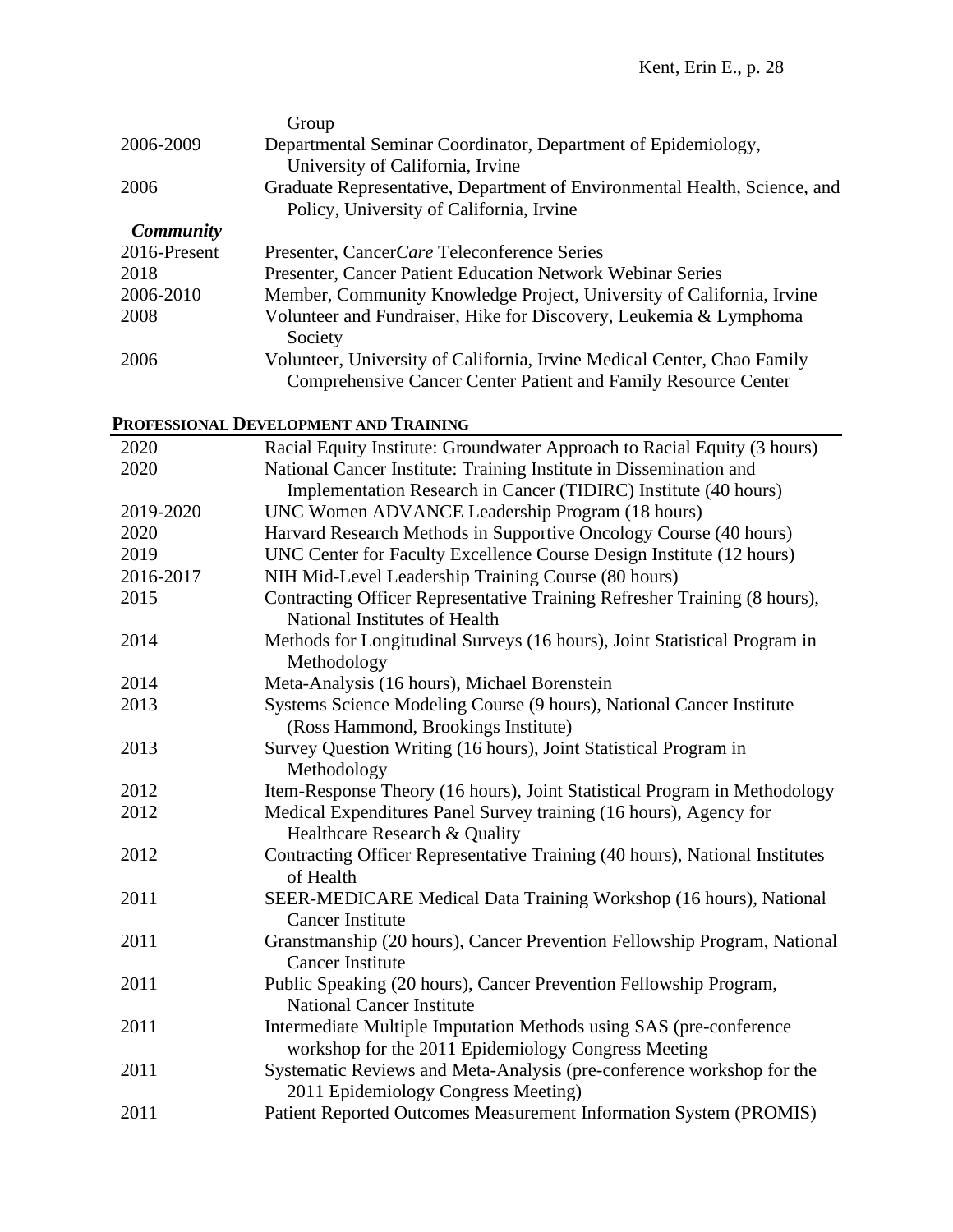|                  | Group                                                                     |
|------------------|---------------------------------------------------------------------------|
| 2006-2009        | Departmental Seminar Coordinator, Department of Epidemiology,             |
|                  | University of California, Irvine                                          |
| 2006             | Graduate Representative, Department of Environmental Health, Science, and |
|                  | Policy, University of California, Irvine                                  |
| <b>Community</b> |                                                                           |
| 2016-Present     | Presenter, CancerCare Teleconference Series                               |
| 2018             | Presenter, Cancer Patient Education Network Webinar Series                |
| 2006-2010        | Member, Community Knowledge Project, University of California, Irvine     |
| 2008             | Volunteer and Fundraiser, Hike for Discovery, Leukemia & Lymphoma         |
|                  | Society                                                                   |
| 2006             | Volunteer, University of California, Irvine Medical Center, Chao Family   |
|                  | <b>Comprehensive Cancer Center Patient and Family Resource Center</b>     |

# **PROFESSIONAL DEVELOPMENT AND TRAINING**

| 2020      | Racial Equity Institute: Groundwater Approach to Racial Equity (3 hours)                                                   |
|-----------|----------------------------------------------------------------------------------------------------------------------------|
| 2020      | National Cancer Institute: Training Institute in Dissemination and                                                         |
|           | Implementation Research in Cancer (TIDIRC) Institute (40 hours)                                                            |
| 2019-2020 | UNC Women ADVANCE Leadership Program (18 hours)                                                                            |
| 2020      | Harvard Research Methods in Supportive Oncology Course (40 hours)                                                          |
| 2019      | UNC Center for Faculty Excellence Course Design Institute (12 hours)                                                       |
| 2016-2017 | NIH Mid-Level Leadership Training Course (80 hours)                                                                        |
| 2015      | Contracting Officer Representative Training Refresher Training (8 hours),<br>National Institutes of Health                 |
| 2014      | Methods for Longitudinal Surveys (16 hours), Joint Statistical Program in<br>Methodology                                   |
| 2014      | Meta-Analysis (16 hours), Michael Borenstein                                                                               |
| 2013      | Systems Science Modeling Course (9 hours), National Cancer Institute                                                       |
|           | (Ross Hammond, Brookings Institute)                                                                                        |
| 2013      | Survey Question Writing (16 hours), Joint Statistical Program in<br>Methodology                                            |
| 2012      | Item-Response Theory (16 hours), Joint Statistical Program in Methodology                                                  |
| 2012      | Medical Expenditures Panel Survey training (16 hours), Agency for<br>Healthcare Research & Quality                         |
| 2012      | Contracting Officer Representative Training (40 hours), National Institutes<br>of Health                                   |
| 2011      | SEER-MEDICARE Medical Data Training Workshop (16 hours), National<br><b>Cancer Institute</b>                               |
| 2011      | Granstmanship (20 hours), Cancer Prevention Fellowship Program, National<br><b>Cancer Institute</b>                        |
| 2011      | Public Speaking (20 hours), Cancer Prevention Fellowship Program,<br><b>National Cancer Institute</b>                      |
| 2011      | Intermediate Multiple Imputation Methods using SAS (pre-conference)<br>workshop for the 2011 Epidemiology Congress Meeting |
| 2011      | Systematic Reviews and Meta-Analysis (pre-conference workshop for the<br>2011 Epidemiology Congress Meeting)               |
| 2011      | Patient Reported Outcomes Measurement Information System (PROMIS)                                                          |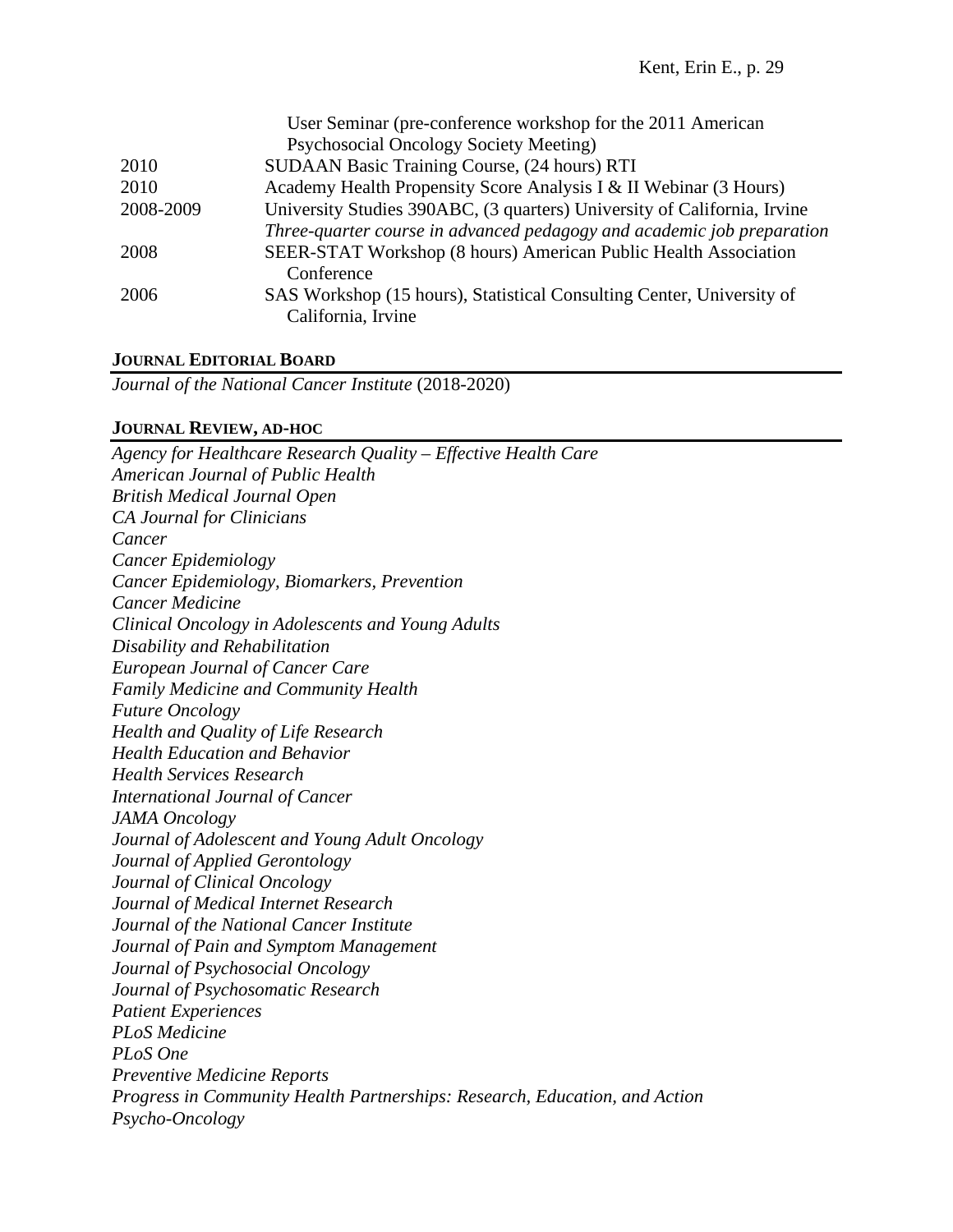| User Seminar (pre-conference workshop for the 2011 American              |
|--------------------------------------------------------------------------|
| Psychosocial Oncology Society Meeting)                                   |
| SUDAAN Basic Training Course, (24 hours) RTI                             |
| Academy Health Propensity Score Analysis I & II Webinar (3 Hours)        |
| University Studies 390ABC, (3 quarters) University of California, Irvine |
| Three-quarter course in advanced pedagogy and academic job preparation   |
| SEER-STAT Workshop (8 hours) American Public Health Association          |
| Conference                                                               |
| SAS Workshop (15 hours), Statistical Consulting Center, University of    |
| California, Irvine                                                       |
|                                                                          |

## **JOURNAL EDITORIAL BOARD**

*Journal of the National Cancer Institute* (2018-2020)

### **JOURNAL REVIEW, AD-HOC**

*Agency for Healthcare Research Quality – Effective Health Care American Journal of Public Health British Medical Journal Open CA Journal for Clinicians Cancer Cancer Epidemiology Cancer Epidemiology, Biomarkers, Prevention Cancer Medicine Clinical Oncology in Adolescents and Young Adults Disability and Rehabilitation European Journal of Cancer Care Family Medicine and Community Health Future Oncology Health and Quality of Life Research Health Education and Behavior Health Services Research International Journal of Cancer JAMA Oncology Journal of Adolescent and Young Adult Oncology Journal of Applied Gerontology Journal of Clinical Oncology Journal of Medical Internet Research Journal of the National Cancer Institute Journal of Pain and Symptom Management Journal of Psychosocial Oncology Journal of Psychosomatic Research Patient Experiences PLoS Medicine PLoS One Preventive Medicine Reports Progress in Community Health Partnerships: Research, Education, and Action Psycho-Oncology*